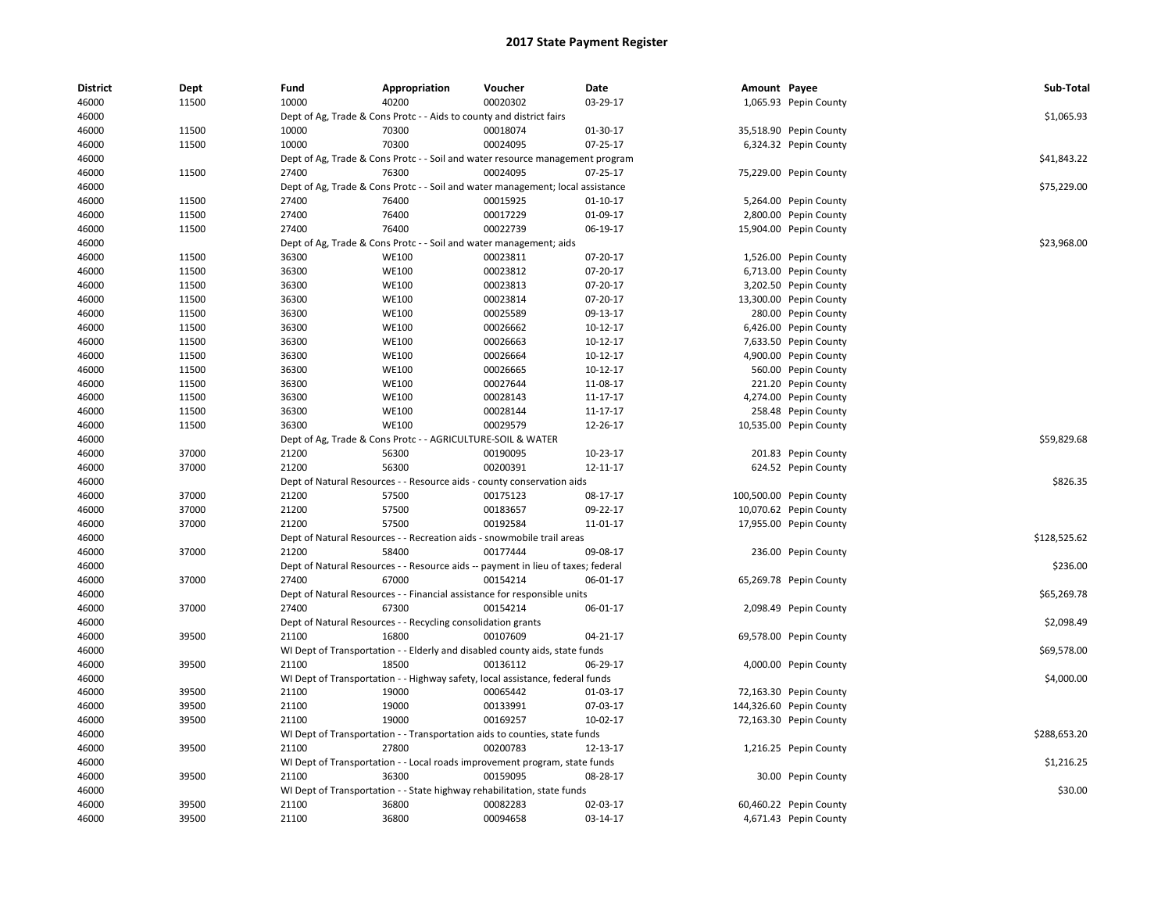| <b>District</b> | Dept  | Fund  | Appropriation                                                                    | Voucher  | Date           | Amount Payee |                         | Sub-Total    |
|-----------------|-------|-------|----------------------------------------------------------------------------------|----------|----------------|--------------|-------------------------|--------------|
| 46000           | 11500 | 10000 | 40200                                                                            | 00020302 | 03-29-17       |              | 1,065.93 Pepin County   |              |
| 46000           |       |       | Dept of Ag, Trade & Cons Protc - - Aids to county and district fairs             |          |                |              |                         | \$1,065.93   |
| 46000           | 11500 | 10000 | 70300                                                                            | 00018074 | 01-30-17       |              | 35,518.90 Pepin County  |              |
| 46000           | 11500 | 10000 | 70300                                                                            | 00024095 | 07-25-17       |              | 6,324.32 Pepin County   |              |
| 46000           |       |       | Dept of Ag, Trade & Cons Protc - - Soil and water resource management program    |          |                |              |                         | \$41,843.22  |
| 46000           | 11500 | 27400 | 76300                                                                            | 00024095 | 07-25-17       |              | 75,229.00 Pepin County  |              |
| 46000           |       |       | Dept of Ag, Trade & Cons Protc - - Soil and water management; local assistance   |          |                |              |                         | \$75,229.00  |
| 46000           | 11500 | 27400 | 76400                                                                            | 00015925 | 01-10-17       |              | 5,264.00 Pepin County   |              |
| 46000           | 11500 | 27400 | 76400                                                                            | 00017229 | 01-09-17       |              | 2,800.00 Pepin County   |              |
| 46000           | 11500 | 27400 | 76400                                                                            | 00022739 | 06-19-17       |              | 15,904.00 Pepin County  |              |
| 46000           |       |       | Dept of Ag, Trade & Cons Protc - - Soil and water management; aids               |          |                |              |                         | \$23,968.00  |
| 46000           | 11500 | 36300 | WE100                                                                            | 00023811 | 07-20-17       |              | 1,526.00 Pepin County   |              |
| 46000           | 11500 | 36300 | <b>WE100</b>                                                                     | 00023812 | 07-20-17       |              | 6,713.00 Pepin County   |              |
| 46000           | 11500 | 36300 | <b>WE100</b>                                                                     | 00023813 | 07-20-17       |              | 3,202.50 Pepin County   |              |
| 46000           | 11500 | 36300 | <b>WE100</b>                                                                     | 00023814 | 07-20-17       |              | 13,300.00 Pepin County  |              |
| 46000           | 11500 | 36300 | <b>WE100</b>                                                                     | 00025589 | 09-13-17       |              | 280.00 Pepin County     |              |
| 46000           | 11500 | 36300 | <b>WE100</b>                                                                     | 00026662 | 10-12-17       |              | 6,426.00 Pepin County   |              |
| 46000           | 11500 | 36300 | <b>WE100</b>                                                                     | 00026663 | 10-12-17       |              | 7,633.50 Pepin County   |              |
| 46000           | 11500 | 36300 | <b>WE100</b>                                                                     | 00026664 | 10-12-17       |              | 4,900.00 Pepin County   |              |
| 46000           | 11500 | 36300 | <b>WE100</b>                                                                     | 00026665 | 10-12-17       |              | 560.00 Pepin County     |              |
| 46000           | 11500 | 36300 | <b>WE100</b>                                                                     | 00027644 | 11-08-17       |              | 221.20 Pepin County     |              |
| 46000           | 11500 | 36300 | <b>WE100</b>                                                                     | 00028143 | 11-17-17       |              | 4,274.00 Pepin County   |              |
| 46000           | 11500 | 36300 | <b>WE100</b>                                                                     | 00028144 | 11-17-17       |              | 258.48 Pepin County     |              |
| 46000           | 11500 | 36300 | <b>WE100</b>                                                                     | 00029579 | 12-26-17       |              | 10,535.00 Pepin County  |              |
| 46000           |       |       | Dept of Ag, Trade & Cons Protc - - AGRICULTURE-SOIL & WATER                      |          |                |              |                         | \$59,829.68  |
| 46000           | 37000 | 21200 | 56300                                                                            | 00190095 | 10-23-17       |              | 201.83 Pepin County     |              |
| 46000           | 37000 | 21200 | 56300                                                                            | 00200391 | 12-11-17       |              | 624.52 Pepin County     |              |
| 46000           |       |       | Dept of Natural Resources - - Resource aids - county conservation aids           |          |                |              |                         | \$826.35     |
| 46000           | 37000 | 21200 | 57500                                                                            | 00175123 | 08-17-17       |              | 100,500.00 Pepin County |              |
| 46000           | 37000 | 21200 | 57500                                                                            | 00183657 | 09-22-17       |              | 10,070.62 Pepin County  |              |
| 46000           | 37000 | 21200 | 57500                                                                            | 00192584 | 11-01-17       |              | 17,955.00 Pepin County  |              |
| 46000           |       |       | Dept of Natural Resources - - Recreation aids - snowmobile trail areas           |          |                |              |                         | \$128,525.62 |
| 46000           | 37000 | 21200 | 58400                                                                            | 00177444 | 09-08-17       |              | 236.00 Pepin County     |              |
| 46000           |       |       | Dept of Natural Resources - - Resource aids -- payment in lieu of taxes; federal |          |                |              |                         | \$236.00     |
| 46000           | 37000 | 27400 | 67000                                                                            | 00154214 | 06-01-17       |              | 65,269.78 Pepin County  |              |
| 46000           |       |       | Dept of Natural Resources - - Financial assistance for responsible units         |          |                |              |                         | \$65,269.78  |
| 46000           | 37000 | 27400 | 67300                                                                            | 00154214 | 06-01-17       |              | 2,098.49 Pepin County   |              |
| 46000           |       |       | Dept of Natural Resources - - Recycling consolidation grants                     |          |                |              |                         | \$2,098.49   |
| 46000           | 39500 | 21100 | 16800                                                                            | 00107609 | $04 - 21 - 17$ |              | 69,578.00 Pepin County  |              |
| 46000           |       |       | WI Dept of Transportation - - Elderly and disabled county aids, state funds      |          |                |              |                         | \$69,578.00  |
| 46000           | 39500 | 21100 | 18500                                                                            | 00136112 | 06-29-17       |              | 4,000.00 Pepin County   |              |
| 46000           |       |       | WI Dept of Transportation - - Highway safety, local assistance, federal funds    |          |                |              |                         | \$4,000.00   |
| 46000           | 39500 | 21100 | 19000                                                                            | 00065442 | 01-03-17       |              | 72,163.30 Pepin County  |              |
| 46000           | 39500 | 21100 | 19000                                                                            | 00133991 | 07-03-17       |              | 144,326.60 Pepin County |              |
| 46000           | 39500 | 21100 | 19000                                                                            | 00169257 | 10-02-17       |              | 72,163.30 Pepin County  |              |
| 46000           |       |       | WI Dept of Transportation - - Transportation aids to counties, state funds       |          |                |              |                         | \$288,653.20 |
| 46000           | 39500 | 21100 | 27800                                                                            | 00200783 | 12-13-17       |              | 1,216.25 Pepin County   |              |
| 46000           |       |       | WI Dept of Transportation - - Local roads improvement program, state funds       |          |                |              |                         | \$1,216.25   |
| 46000           | 39500 | 21100 | 36300                                                                            | 00159095 | 08-28-17       |              | 30.00 Pepin County      |              |
| 46000           |       |       | WI Dept of Transportation - - State highway rehabilitation, state funds          |          |                |              |                         | \$30.00      |
| 46000           | 39500 | 21100 | 36800                                                                            | 00082283 | 02-03-17       |              | 60,460.22 Pepin County  |              |
| 46000           | 39500 | 21100 | 36800                                                                            | 00094658 | 03-14-17       |              | 4,671.43 Pepin County   |              |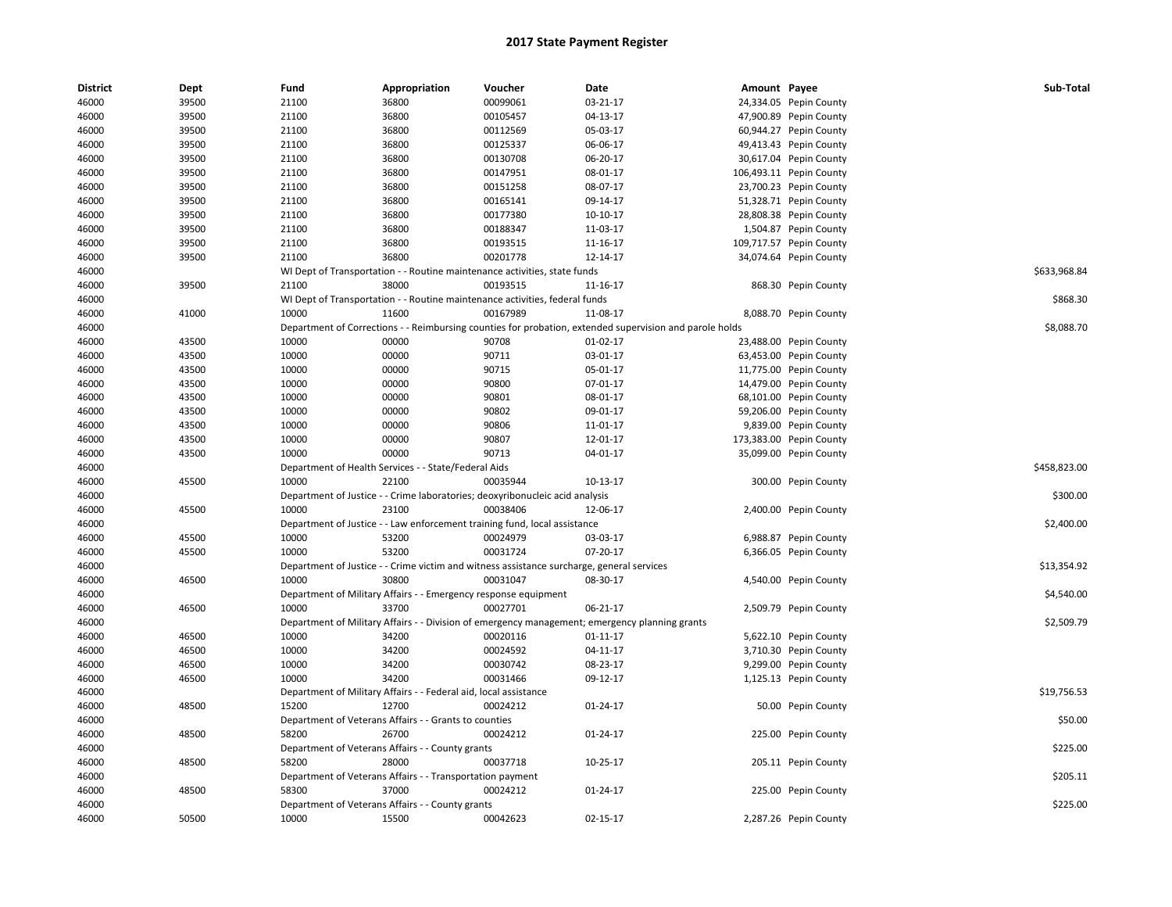| <b>District</b> | Dept  | Fund  | Appropriation                                                                | Voucher  | Date                                                                                                    | Amount Payee |                         | Sub-Total    |
|-----------------|-------|-------|------------------------------------------------------------------------------|----------|---------------------------------------------------------------------------------------------------------|--------------|-------------------------|--------------|
| 46000           | 39500 | 21100 | 36800                                                                        | 00099061 | 03-21-17                                                                                                |              | 24,334.05 Pepin County  |              |
| 46000           | 39500 | 21100 | 36800                                                                        | 00105457 | 04-13-17                                                                                                |              | 47,900.89 Pepin County  |              |
| 46000           | 39500 | 21100 | 36800                                                                        | 00112569 | 05-03-17                                                                                                |              | 60,944.27 Pepin County  |              |
| 46000           | 39500 | 21100 | 36800                                                                        | 00125337 | 06-06-17                                                                                                |              | 49,413.43 Pepin County  |              |
| 46000           | 39500 | 21100 | 36800                                                                        | 00130708 | 06-20-17                                                                                                |              | 30,617.04 Pepin County  |              |
| 46000           | 39500 | 21100 | 36800                                                                        | 00147951 | 08-01-17                                                                                                |              | 106,493.11 Pepin County |              |
| 46000           | 39500 | 21100 | 36800                                                                        | 00151258 | 08-07-17                                                                                                |              | 23,700.23 Pepin County  |              |
| 46000           | 39500 | 21100 | 36800                                                                        | 00165141 | 09-14-17                                                                                                |              | 51,328.71 Pepin County  |              |
| 46000           | 39500 | 21100 | 36800                                                                        | 00177380 | 10-10-17                                                                                                |              | 28,808.38 Pepin County  |              |
| 46000           | 39500 | 21100 | 36800                                                                        | 00188347 | 11-03-17                                                                                                |              | 1,504.87 Pepin County   |              |
| 46000           | 39500 | 21100 | 36800                                                                        | 00193515 | 11-16-17                                                                                                |              | 109,717.57 Pepin County |              |
| 46000           | 39500 | 21100 | 36800                                                                        | 00201778 | 12-14-17                                                                                                |              | 34,074.64 Pepin County  |              |
| 46000           |       |       | WI Dept of Transportation - - Routine maintenance activities, state funds    |          |                                                                                                         |              |                         | \$633,968.84 |
| 46000           | 39500 | 21100 | 38000                                                                        | 00193515 | 11-16-17                                                                                                |              | 868.30 Pepin County     |              |
| 46000           |       |       | WI Dept of Transportation - - Routine maintenance activities, federal funds  |          |                                                                                                         |              |                         | \$868.30     |
| 46000           | 41000 | 10000 | 11600                                                                        | 00167989 | 11-08-17                                                                                                |              | 8,088.70 Pepin County   |              |
| 46000           |       |       |                                                                              |          | Department of Corrections - - Reimbursing counties for probation, extended supervision and parole holds |              |                         | \$8,088.70   |
| 46000           | 43500 | 10000 | 00000                                                                        | 90708    | 01-02-17                                                                                                |              | 23,488.00 Pepin County  |              |
| 46000           | 43500 | 10000 | 00000                                                                        | 90711    | 03-01-17                                                                                                |              | 63,453.00 Pepin County  |              |
| 46000           | 43500 | 10000 | 00000                                                                        | 90715    | 05-01-17                                                                                                |              | 11,775.00 Pepin County  |              |
| 46000           | 43500 | 10000 | 00000                                                                        | 90800    | 07-01-17                                                                                                |              | 14,479.00 Pepin County  |              |
| 46000           | 43500 | 10000 | 00000                                                                        | 90801    | 08-01-17                                                                                                |              | 68,101.00 Pepin County  |              |
| 46000           | 43500 | 10000 | 00000                                                                        | 90802    | 09-01-17                                                                                                |              | 59,206.00 Pepin County  |              |
| 46000           | 43500 | 10000 | 00000                                                                        | 90806    | 11-01-17                                                                                                |              | 9,839.00 Pepin County   |              |
| 46000           | 43500 | 10000 | 00000                                                                        | 90807    | 12-01-17                                                                                                |              | 173,383.00 Pepin County |              |
| 46000           | 43500 | 10000 | 00000                                                                        | 90713    | 04-01-17                                                                                                |              | 35,099.00 Pepin County  |              |
| 46000           |       |       | Department of Health Services - - State/Federal Aids                         |          |                                                                                                         |              |                         | \$458,823.00 |
| 46000           | 45500 | 10000 | 22100                                                                        | 00035944 | 10-13-17                                                                                                |              | 300.00 Pepin County     |              |
| 46000           |       |       | Department of Justice - - Crime laboratories; deoxyribonucleic acid analysis |          |                                                                                                         |              |                         | \$300.00     |
| 46000           | 45500 | 10000 | 23100                                                                        | 00038406 | 12-06-17                                                                                                |              | 2,400.00 Pepin County   |              |
| 46000           |       |       | Department of Justice - - Law enforcement training fund, local assistance    |          |                                                                                                         |              |                         | \$2,400.00   |
| 46000           | 45500 | 10000 | 53200                                                                        | 00024979 | 03-03-17                                                                                                |              | 6,988.87 Pepin County   |              |
| 46000           | 45500 | 10000 | 53200                                                                        | 00031724 | 07-20-17                                                                                                |              | 6,366.05 Pepin County   |              |
| 46000           |       |       |                                                                              |          | Department of Justice - - Crime victim and witness assistance surcharge, general services               |              |                         | \$13,354.92  |
| 46000           | 46500 | 10000 | 30800                                                                        | 00031047 | 08-30-17                                                                                                |              | 4,540.00 Pepin County   |              |
| 46000           |       |       | Department of Military Affairs - - Emergency response equipment              |          |                                                                                                         |              |                         | \$4,540.00   |
| 46000           | 46500 | 10000 | 33700                                                                        | 00027701 | 06-21-17                                                                                                |              | 2,509.79 Pepin County   |              |
| 46000           |       |       |                                                                              |          | Department of Military Affairs - - Division of emergency management; emergency planning grants          |              |                         | \$2,509.79   |
| 46000           | 46500 | 10000 | 34200                                                                        | 00020116 | 01-11-17                                                                                                |              | 5,622.10 Pepin County   |              |
| 46000           | 46500 | 10000 | 34200                                                                        | 00024592 | 04-11-17                                                                                                |              | 3,710.30 Pepin County   |              |
| 46000           | 46500 | 10000 | 34200                                                                        | 00030742 | 08-23-17                                                                                                |              | 9,299.00 Pepin County   |              |
| 46000           | 46500 | 10000 | 34200                                                                        | 00031466 | 09-12-17                                                                                                |              | 1,125.13 Pepin County   |              |
| 46000           |       |       | Department of Military Affairs - - Federal aid, local assistance             |          |                                                                                                         |              |                         | \$19,756.53  |
| 46000           | 48500 | 15200 | 12700                                                                        | 00024212 | 01-24-17                                                                                                |              | 50.00 Pepin County      |              |
| 46000           |       |       | Department of Veterans Affairs - - Grants to counties                        |          |                                                                                                         |              |                         | \$50.00      |
| 46000           | 48500 | 58200 | 26700                                                                        | 00024212 | 01-24-17                                                                                                |              | 225.00 Pepin County     |              |
| 46000           |       |       | Department of Veterans Affairs - - County grants                             |          |                                                                                                         |              |                         | \$225.00     |
| 46000           | 48500 | 58200 | 28000                                                                        | 00037718 | 10-25-17                                                                                                |              | 205.11 Pepin County     |              |
| 46000           |       |       | Department of Veterans Affairs - - Transportation payment                    |          |                                                                                                         |              |                         | \$205.11     |
| 46000           | 48500 | 58300 | 37000                                                                        | 00024212 | $01 - 24 - 17$                                                                                          |              | 225.00 Pepin County     |              |
| 46000           |       |       | Department of Veterans Affairs - - County grants                             |          |                                                                                                         |              |                         | \$225.00     |
| 46000           | 50500 | 10000 | 15500                                                                        | 00042623 | 02-15-17                                                                                                |              | 2,287.26 Pepin County   |              |
|                 |       |       |                                                                              |          |                                                                                                         |              |                         |              |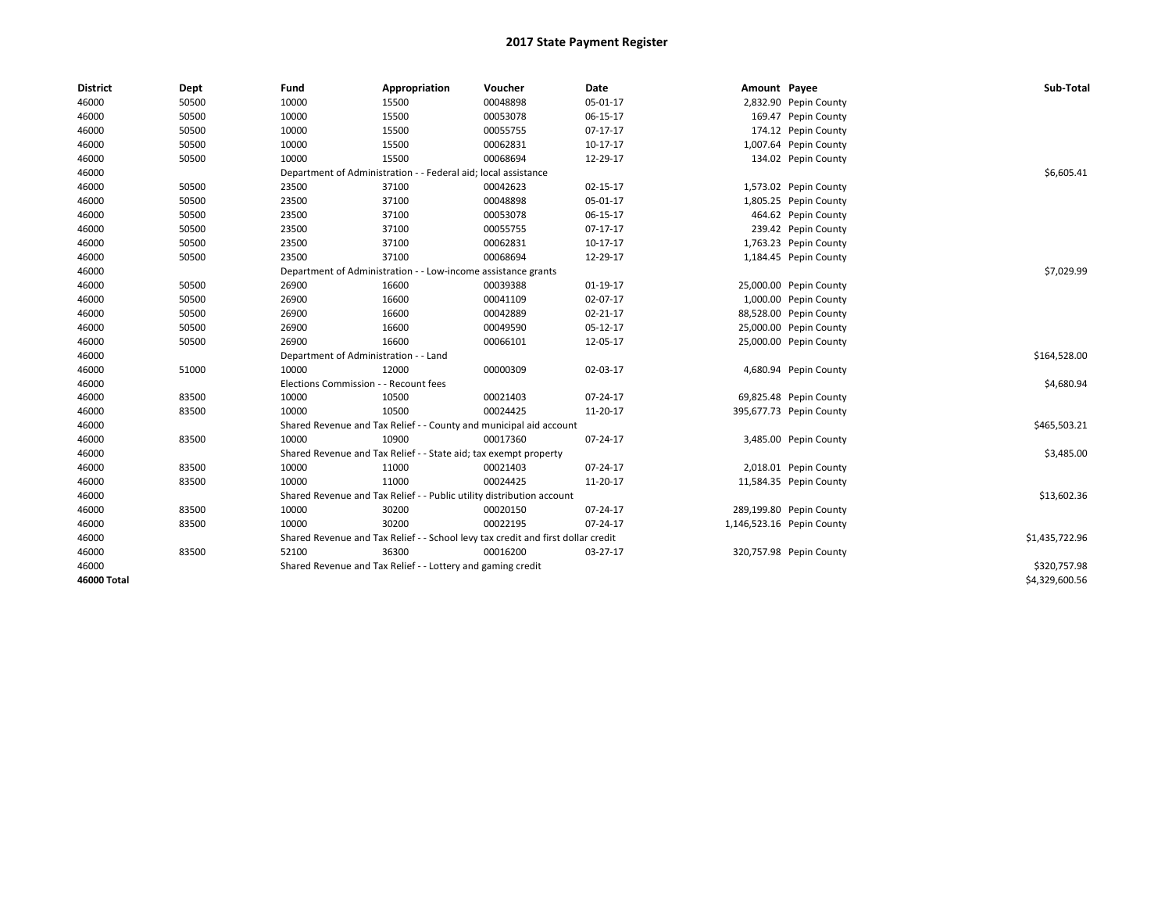| <b>District</b>    | <b>Dept</b> | Fund  | Appropriation                                                                    | Voucher  | Date       | Amount Payee |                           | Sub-Total      |
|--------------------|-------------|-------|----------------------------------------------------------------------------------|----------|------------|--------------|---------------------------|----------------|
| 46000              | 50500       | 10000 | 15500                                                                            | 00048898 | 05-01-17   |              | 2,832.90 Pepin County     |                |
| 46000              | 50500       | 10000 | 15500                                                                            | 00053078 | 06-15-17   |              | 169.47 Pepin County       |                |
| 46000              | 50500       | 10000 | 15500                                                                            | 00055755 | $07-17-17$ |              | 174.12 Pepin County       |                |
| 46000              | 50500       | 10000 | 15500                                                                            | 00062831 | 10-17-17   |              | 1,007.64 Pepin County     |                |
| 46000              | 50500       | 10000 | 15500                                                                            | 00068694 | 12-29-17   |              | 134.02 Pepin County       |                |
| 46000              |             |       | Department of Administration - - Federal aid; local assistance                   |          |            |              |                           | \$6,605.41     |
| 46000              | 50500       | 23500 | 37100                                                                            | 00042623 | 02-15-17   |              | 1,573.02 Pepin County     |                |
| 46000              | 50500       | 23500 | 37100                                                                            | 00048898 | 05-01-17   |              | 1,805.25 Pepin County     |                |
| 46000              | 50500       | 23500 | 37100                                                                            | 00053078 | 06-15-17   |              | 464.62 Pepin County       |                |
| 46000              | 50500       | 23500 | 37100                                                                            | 00055755 | 07-17-17   |              | 239.42 Pepin County       |                |
| 46000              | 50500       | 23500 | 37100                                                                            | 00062831 | 10-17-17   |              | 1,763.23 Pepin County     |                |
| 46000              | 50500       | 23500 | 37100                                                                            | 00068694 | 12-29-17   |              | 1,184.45 Pepin County     |                |
| 46000              |             |       | Department of Administration - - Low-income assistance grants                    |          |            |              |                           | \$7,029.99     |
| 46000              | 50500       | 26900 | 16600                                                                            | 00039388 | 01-19-17   |              | 25,000.00 Pepin County    |                |
| 46000              | 50500       | 26900 | 16600                                                                            | 00041109 | 02-07-17   |              | 1,000.00 Pepin County     |                |
| 46000              | 50500       | 26900 | 16600                                                                            | 00042889 | 02-21-17   |              | 88,528.00 Pepin County    |                |
| 46000              | 50500       | 26900 | 16600                                                                            | 00049590 | 05-12-17   |              | 25,000.00 Pepin County    |                |
| 46000              | 50500       | 26900 | 16600                                                                            | 00066101 | 12-05-17   |              | 25,000.00 Pepin County    |                |
| 46000              |             |       | Department of Administration - - Land                                            |          |            |              |                           | \$164,528.00   |
| 46000              | 51000       | 10000 | 12000                                                                            | 00000309 | 02-03-17   |              | 4,680.94 Pepin County     |                |
| 46000              |             |       | Elections Commission - - Recount fees                                            |          |            |              |                           | \$4,680.94     |
| 46000              | 83500       | 10000 | 10500                                                                            | 00021403 | 07-24-17   |              | 69,825.48 Pepin County    |                |
| 46000              | 83500       | 10000 | 10500                                                                            | 00024425 | 11-20-17   |              | 395,677.73 Pepin County   |                |
| 46000              |             |       | Shared Revenue and Tax Relief - - County and municipal aid account               |          |            |              |                           | \$465,503.21   |
| 46000              | 83500       | 10000 | 10900                                                                            | 00017360 | 07-24-17   |              | 3,485.00 Pepin County     |                |
| 46000              |             |       | Shared Revenue and Tax Relief - - State aid; tax exempt property                 |          |            |              |                           | \$3,485.00     |
| 46000              | 83500       | 10000 | 11000                                                                            | 00021403 | 07-24-17   |              | 2,018.01 Pepin County     |                |
| 46000              | 83500       | 10000 | 11000                                                                            | 00024425 | 11-20-17   |              | 11,584.35 Pepin County    |                |
| 46000              |             |       | Shared Revenue and Tax Relief - - Public utility distribution account            |          |            |              |                           | \$13,602.36    |
| 46000              | 83500       | 10000 | 30200                                                                            | 00020150 | 07-24-17   |              | 289,199.80 Pepin County   |                |
| 46000              | 83500       | 10000 | 30200                                                                            | 00022195 | 07-24-17   |              | 1,146,523.16 Pepin County |                |
| 46000              |             |       | Shared Revenue and Tax Relief - - School levy tax credit and first dollar credit |          |            |              |                           | \$1,435,722.96 |
| 46000              | 83500       | 52100 | 36300                                                                            | 00016200 | 03-27-17   |              | 320,757.98 Pepin County   |                |
| 46000              |             |       | Shared Revenue and Tax Relief - - Lottery and gaming credit                      |          |            |              |                           | \$320,757.98   |
| <b>46000 Total</b> |             |       |                                                                                  |          |            |              |                           | \$4,329,600.56 |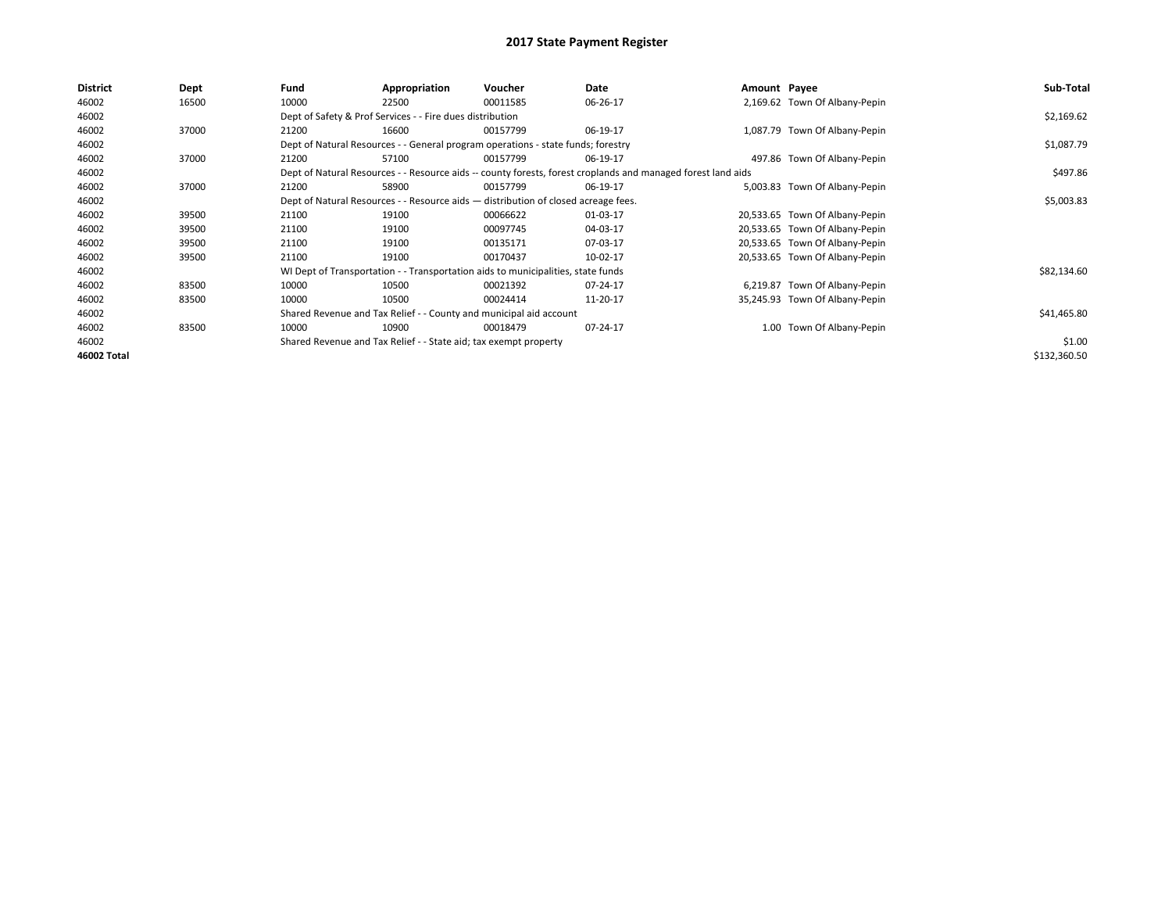| <b>District</b>    | Dept  | Fund  | Appropriation                                                                      | Voucher  | Date                                                                                                         | Amount Payee |                                | Sub-Total    |  |  |
|--------------------|-------|-------|------------------------------------------------------------------------------------|----------|--------------------------------------------------------------------------------------------------------------|--------------|--------------------------------|--------------|--|--|
| 46002              | 16500 | 10000 | 22500                                                                              | 00011585 | 06-26-17                                                                                                     |              | 2,169.62 Town Of Albany-Pepin  |              |  |  |
| 46002              |       |       | Dept of Safety & Prof Services - - Fire dues distribution                          |          |                                                                                                              |              |                                | \$2,169.62   |  |  |
| 46002              | 37000 | 21200 | 16600                                                                              | 00157799 | 06-19-17                                                                                                     |              | 1,087.79 Town Of Albany-Pepin  |              |  |  |
| 46002              |       |       | Dept of Natural Resources - - General program operations - state funds; forestry   |          |                                                                                                              |              |                                | \$1,087.79   |  |  |
| 46002              | 37000 | 21200 | 57100                                                                              | 00157799 | 06-19-17                                                                                                     |              | 497.86 Town Of Albany-Pepin    |              |  |  |
| 46002              |       |       |                                                                                    |          | Dept of Natural Resources - - Resource aids -- county forests, forest croplands and managed forest land aids |              |                                | \$497.86     |  |  |
| 46002              | 37000 | 21200 | 58900                                                                              | 00157799 | 06-19-17                                                                                                     |              | 5,003.83 Town Of Albany-Pepin  |              |  |  |
| 46002              |       |       | Dept of Natural Resources - - Resource aids - distribution of closed acreage fees. |          |                                                                                                              |              |                                |              |  |  |
| 46002              | 39500 | 21100 | 19100                                                                              | 00066622 | 01-03-17                                                                                                     |              | 20,533.65 Town Of Albany-Pepin |              |  |  |
| 46002              | 39500 | 21100 | 19100                                                                              | 00097745 | 04-03-17                                                                                                     |              | 20,533.65 Town Of Albany-Pepin |              |  |  |
| 46002              | 39500 | 21100 | 19100                                                                              | 00135171 | 07-03-17                                                                                                     |              | 20,533.65 Town Of Albany-Pepin |              |  |  |
| 46002              | 39500 | 21100 | 19100                                                                              | 00170437 | 10-02-17                                                                                                     |              | 20,533.65 Town Of Albany-Pepin |              |  |  |
| 46002              |       |       | WI Dept of Transportation - - Transportation aids to municipalities, state funds   |          |                                                                                                              |              |                                | \$82,134.60  |  |  |
| 46002              | 83500 | 10000 | 10500                                                                              | 00021392 | 07-24-17                                                                                                     |              | 6,219.87 Town Of Albany-Pepin  |              |  |  |
| 46002              | 83500 | 10000 | 10500                                                                              | 00024414 | 11-20-17                                                                                                     |              | 35,245.93 Town Of Albany-Pepin |              |  |  |
| 46002              |       |       | Shared Revenue and Tax Relief - - County and municipal aid account                 |          |                                                                                                              |              |                                | \$41,465.80  |  |  |
| 46002              | 83500 | 10000 | 10900                                                                              | 00018479 | 07-24-17                                                                                                     |              | 1.00 Town Of Albany-Pepin      |              |  |  |
| 46002              |       |       | Shared Revenue and Tax Relief - - State aid; tax exempt property                   |          |                                                                                                              |              |                                | \$1.00       |  |  |
| <b>46002 Total</b> |       |       |                                                                                    |          |                                                                                                              |              |                                | \$132,360.50 |  |  |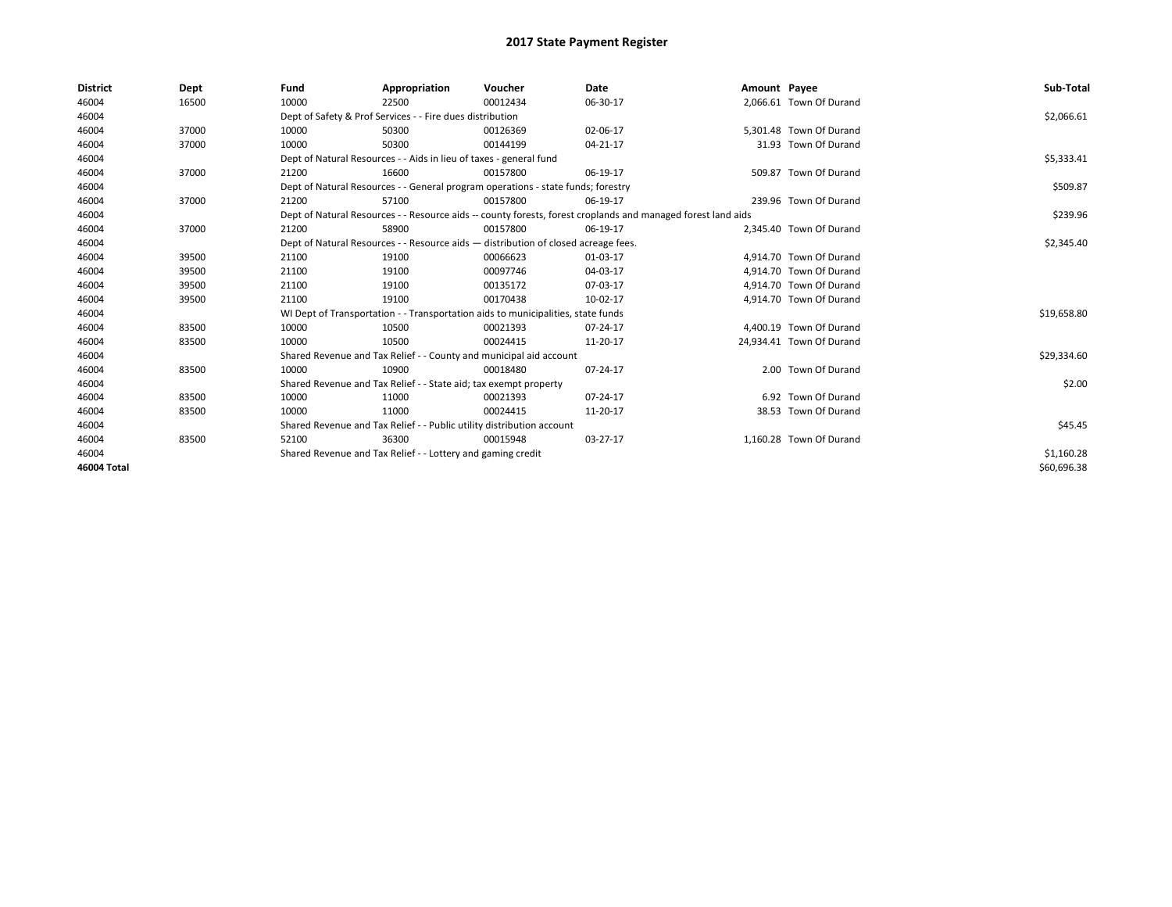| <b>District</b> | Dept  | Fund  | Appropriation                                                         | Voucher                                                                            | Date                                                                                                         | Amount Payee |                          | Sub-Total   |
|-----------------|-------|-------|-----------------------------------------------------------------------|------------------------------------------------------------------------------------|--------------------------------------------------------------------------------------------------------------|--------------|--------------------------|-------------|
| 46004           | 16500 | 10000 | 22500                                                                 | 00012434                                                                           | 06-30-17                                                                                                     |              | 2,066.61 Town Of Durand  |             |
| 46004           |       |       | Dept of Safety & Prof Services - - Fire dues distribution             |                                                                                    |                                                                                                              |              |                          | \$2,066.61  |
| 46004           | 37000 | 10000 | 50300                                                                 | 00126369                                                                           | 02-06-17                                                                                                     |              | 5.301.48 Town Of Durand  |             |
| 46004           | 37000 | 10000 | 50300                                                                 | 00144199                                                                           | 04-21-17                                                                                                     |              | 31.93 Town Of Durand     |             |
| 46004           |       |       | Dept of Natural Resources - - Aids in lieu of taxes - general fund    |                                                                                    |                                                                                                              |              |                          | \$5,333.41  |
| 46004           | 37000 | 21200 | 16600                                                                 | 00157800                                                                           | 06-19-17                                                                                                     |              | 509.87 Town Of Durand    |             |
| 46004           |       |       |                                                                       | Dept of Natural Resources - - General program operations - state funds; forestry   |                                                                                                              |              |                          | \$509.87    |
| 46004           | 37000 | 21200 | 57100                                                                 | 00157800                                                                           | 06-19-17                                                                                                     |              | 239.96 Town Of Durand    |             |
| 46004           |       |       |                                                                       |                                                                                    | Dept of Natural Resources - - Resource aids -- county forests, forest croplands and managed forest land aids |              |                          | \$239.96    |
| 46004           | 37000 | 21200 | 58900                                                                 | 00157800                                                                           | 06-19-17                                                                                                     |              | 2.345.40 Town Of Durand  |             |
| 46004           |       |       |                                                                       | Dept of Natural Resources - - Resource aids - distribution of closed acreage fees. |                                                                                                              |              |                          | \$2,345.40  |
| 46004           | 39500 | 21100 | 19100                                                                 | 00066623                                                                           | 01-03-17                                                                                                     |              | 4,914.70 Town Of Durand  |             |
| 46004           | 39500 | 21100 | 19100                                                                 | 00097746                                                                           | 04-03-17                                                                                                     |              | 4.914.70 Town Of Durand  |             |
| 46004           | 39500 | 21100 | 19100                                                                 | 00135172                                                                           | 07-03-17                                                                                                     |              | 4.914.70 Town Of Durand  |             |
| 46004           | 39500 | 21100 | 19100                                                                 | 00170438                                                                           | 10-02-17                                                                                                     |              | 4,914.70 Town Of Durand  |             |
| 46004           |       |       |                                                                       | WI Dept of Transportation - - Transportation aids to municipalities, state funds   |                                                                                                              |              |                          | \$19,658.80 |
| 46004           | 83500 | 10000 | 10500                                                                 | 00021393                                                                           | 07-24-17                                                                                                     |              | 4,400.19 Town Of Durand  |             |
| 46004           | 83500 | 10000 | 10500                                                                 | 00024415                                                                           | 11-20-17                                                                                                     |              | 24,934.41 Town Of Durand |             |
| 46004           |       |       | Shared Revenue and Tax Relief - - County and municipal aid account    |                                                                                    |                                                                                                              |              |                          | \$29,334.60 |
| 46004           | 83500 | 10000 | 10900                                                                 | 00018480                                                                           | 07-24-17                                                                                                     |              | 2.00 Town Of Durand      |             |
| 46004           |       |       | Shared Revenue and Tax Relief - - State aid; tax exempt property      |                                                                                    |                                                                                                              |              |                          | \$2.00      |
| 46004           | 83500 | 10000 | 11000                                                                 | 00021393                                                                           | 07-24-17                                                                                                     |              | 6.92 Town Of Durand      |             |
| 46004           | 83500 | 10000 | 11000                                                                 | 00024415                                                                           | 11-20-17                                                                                                     |              | 38.53 Town Of Durand     |             |
| 46004           |       |       | Shared Revenue and Tax Relief - - Public utility distribution account |                                                                                    |                                                                                                              |              |                          | \$45.45     |
| 46004           | 83500 | 52100 | 36300                                                                 | 00015948                                                                           | 03-27-17                                                                                                     |              | 1,160.28 Town Of Durand  |             |
| 46004           |       |       | Shared Revenue and Tax Relief - - Lottery and gaming credit           |                                                                                    |                                                                                                              |              |                          | \$1,160.28  |
| 46004 Total     |       |       |                                                                       |                                                                                    |                                                                                                              |              |                          | \$60,696.38 |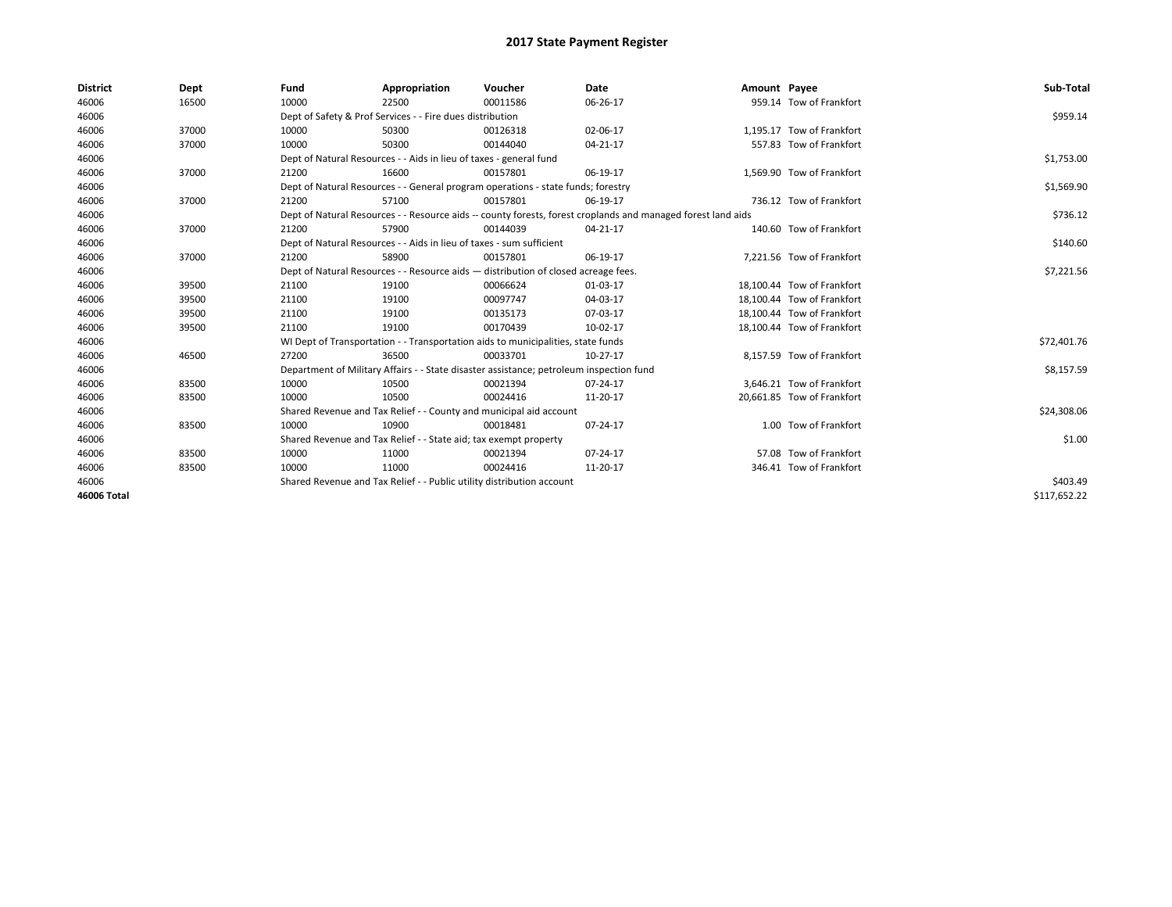| <b>District</b> | Dept  | Fund                                                                               | Appropriation                                                                           | Voucher    | Date                                                                                                         | Amount Payee |                            | Sub-Total    |
|-----------------|-------|------------------------------------------------------------------------------------|-----------------------------------------------------------------------------------------|------------|--------------------------------------------------------------------------------------------------------------|--------------|----------------------------|--------------|
| 46006           | 16500 | 10000                                                                              | 22500                                                                                   | 00011586   | 06-26-17                                                                                                     |              | 959.14 Tow of Frankfort    |              |
| 46006           |       |                                                                                    | Dept of Safety & Prof Services - - Fire dues distribution                               |            |                                                                                                              |              |                            | \$959.14     |
| 46006           | 37000 | 10000                                                                              | 50300                                                                                   | 00126318   | 02-06-17                                                                                                     |              | 1.195.17 Tow of Frankfort  |              |
| 46006           | 37000 | 10000                                                                              | 50300                                                                                   | 00144040   | 04-21-17                                                                                                     |              | 557.83 Tow of Frankfort    |              |
| 46006           |       |                                                                                    | Dept of Natural Resources - - Aids in lieu of taxes - general fund                      |            |                                                                                                              |              |                            | \$1,753.00   |
| 46006           | 37000 | 21200                                                                              | 16600                                                                                   | 00157801   | 06-19-17                                                                                                     |              | 1,569.90 Tow of Frankfort  |              |
| 46006           |       |                                                                                    | Dept of Natural Resources - - General program operations - state funds; forestry        |            |                                                                                                              |              |                            | \$1,569.90   |
| 46006           | 37000 | 21200                                                                              | 57100                                                                                   | 00157801   | 06-19-17                                                                                                     |              | 736.12 Tow of Frankfort    |              |
| 46006           |       |                                                                                    |                                                                                         |            | Dept of Natural Resources - - Resource aids -- county forests, forest croplands and managed forest land aids |              |                            | \$736.12     |
| 46006           | 37000 | 21200                                                                              | 57900                                                                                   | 00144039   | 04-21-17                                                                                                     |              | 140.60 Tow of Frankfort    |              |
| 46006           |       |                                                                                    | Dept of Natural Resources - - Aids in lieu of taxes - sum sufficient                    |            |                                                                                                              |              |                            | \$140.60     |
| 46006           | 37000 | 21200                                                                              | 58900                                                                                   | 00157801   | 06-19-17                                                                                                     |              | 7,221.56 Tow of Frankfort  |              |
| 46006           |       | Dept of Natural Resources - - Resource aids - distribution of closed acreage fees. |                                                                                         | \$7,221.56 |                                                                                                              |              |                            |              |
| 46006           | 39500 | 21100                                                                              | 19100                                                                                   | 00066624   | 01-03-17                                                                                                     |              | 18,100.44 Tow of Frankfort |              |
| 46006           | 39500 | 21100                                                                              | 19100                                                                                   | 00097747   | 04-03-17                                                                                                     |              | 18,100.44 Tow of Frankfort |              |
| 46006           | 39500 | 21100                                                                              | 19100                                                                                   | 00135173   | 07-03-17                                                                                                     |              | 18,100.44 Tow of Frankfort |              |
| 46006           | 39500 | 21100                                                                              | 19100                                                                                   | 00170439   | 10-02-17                                                                                                     |              | 18,100.44 Tow of Frankfort |              |
| 46006           |       |                                                                                    | WI Dept of Transportation - - Transportation aids to municipalities, state funds        |            |                                                                                                              |              |                            | \$72,401.76  |
| 46006           | 46500 | 27200                                                                              | 36500                                                                                   | 00033701   | 10-27-17                                                                                                     |              | 8,157.59 Tow of Frankfort  |              |
| 46006           |       |                                                                                    | Department of Military Affairs - - State disaster assistance; petroleum inspection fund |            |                                                                                                              |              |                            | \$8,157.59   |
| 46006           | 83500 | 10000                                                                              | 10500                                                                                   | 00021394   | 07-24-17                                                                                                     |              | 3,646.21 Tow of Frankfort  |              |
| 46006           | 83500 | 10000                                                                              | 10500                                                                                   | 00024416   | 11-20-17                                                                                                     |              | 20.661.85 Tow of Frankfort |              |
| 46006           |       |                                                                                    | Shared Revenue and Tax Relief - - County and municipal aid account                      |            |                                                                                                              |              |                            | \$24,308.06  |
| 46006           | 83500 | 10000                                                                              | 10900                                                                                   | 00018481   | 07-24-17                                                                                                     |              | 1.00 Tow of Frankfort      |              |
| 46006           |       |                                                                                    | Shared Revenue and Tax Relief - - State aid; tax exempt property                        |            |                                                                                                              |              |                            | \$1.00       |
| 46006           | 83500 | 10000                                                                              | 11000                                                                                   | 00021394   | 07-24-17                                                                                                     |              | 57.08 Tow of Frankfort     |              |
| 46006           | 83500 | 10000                                                                              | 11000                                                                                   | 00024416   | 11-20-17                                                                                                     |              | 346.41 Tow of Frankfort    |              |
| 46006           |       |                                                                                    | Shared Revenue and Tax Relief - - Public utility distribution account                   |            |                                                                                                              |              |                            | \$403.49     |
| 46006 Total     |       |                                                                                    |                                                                                         |            |                                                                                                              |              |                            | \$117,652.22 |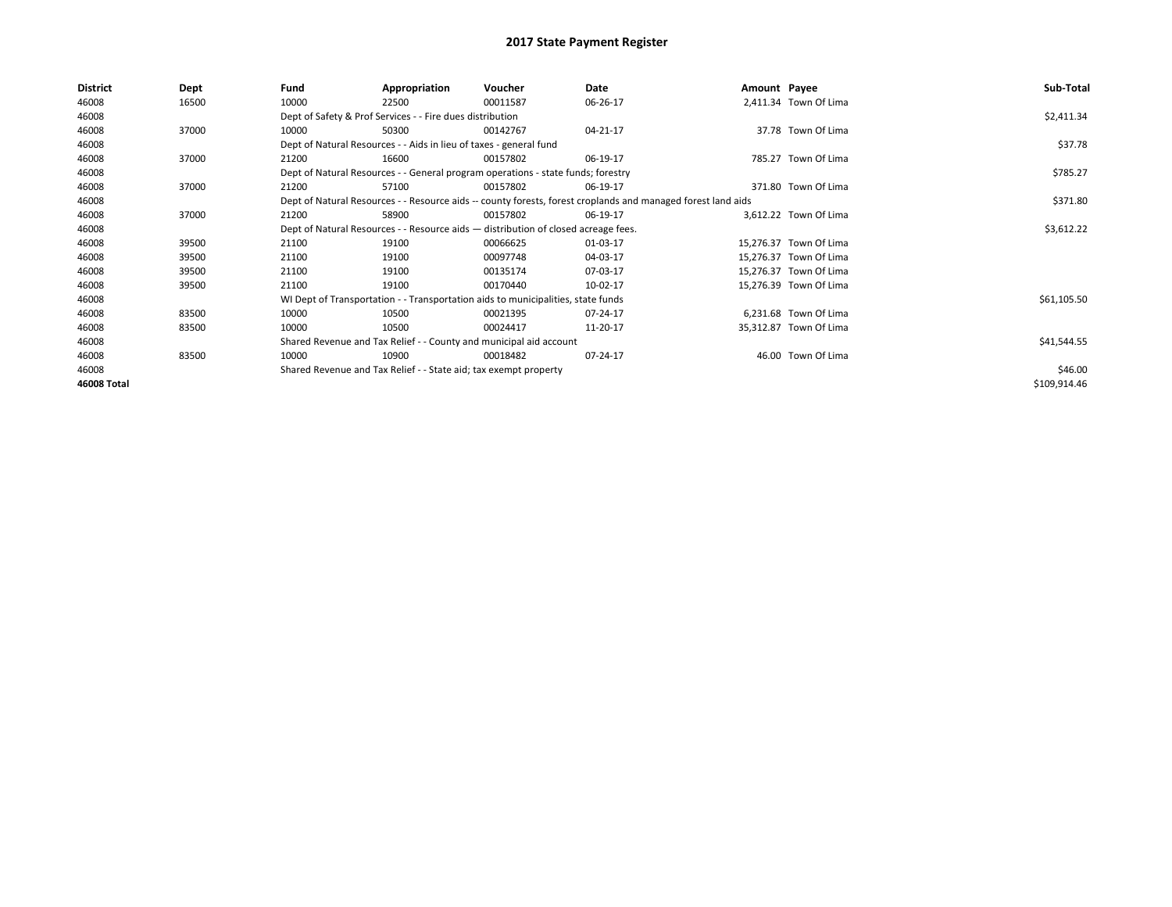| <b>District</b> | Dept  | Fund  | Appropriation                                                                      | Voucher                                                                          | Date                                                                                                         | Amount Payee |                        | Sub-Total    |
|-----------------|-------|-------|------------------------------------------------------------------------------------|----------------------------------------------------------------------------------|--------------------------------------------------------------------------------------------------------------|--------------|------------------------|--------------|
| 46008           | 16500 | 10000 | 22500                                                                              | 00011587                                                                         | 06-26-17                                                                                                     |              | 2,411.34 Town Of Lima  |              |
| 46008           |       |       | Dept of Safety & Prof Services - - Fire dues distribution                          |                                                                                  |                                                                                                              |              |                        | \$2,411.34   |
| 46008           | 37000 | 10000 | 50300                                                                              | 00142767                                                                         | 04-21-17                                                                                                     |              | 37.78 Town Of Lima     |              |
| 46008           |       |       | Dept of Natural Resources - - Aids in lieu of taxes - general fund                 |                                                                                  |                                                                                                              |              |                        | \$37.78      |
| 46008           | 37000 | 21200 | 16600                                                                              | 00157802                                                                         | 06-19-17                                                                                                     |              | 785.27 Town Of Lima    |              |
| 46008           |       |       |                                                                                    | Dept of Natural Resources - - General program operations - state funds; forestry |                                                                                                              |              |                        | \$785.27     |
| 46008           | 37000 | 21200 | 57100                                                                              | 00157802                                                                         | 06-19-17                                                                                                     |              | 371.80 Town Of Lima    |              |
| 46008           |       |       |                                                                                    |                                                                                  | Dept of Natural Resources - - Resource aids -- county forests, forest croplands and managed forest land aids |              |                        | \$371.80     |
| 46008           | 37000 | 21200 | 58900                                                                              | 00157802                                                                         | 06-19-17                                                                                                     |              | 3.612.22 Town Of Lima  |              |
| 46008           |       |       | Dept of Natural Resources - - Resource aids - distribution of closed acreage fees. |                                                                                  | \$3,612.22                                                                                                   |              |                        |              |
| 46008           | 39500 | 21100 | 19100                                                                              | 00066625                                                                         | 01-03-17                                                                                                     |              | 15,276.37 Town Of Lima |              |
| 46008           | 39500 | 21100 | 19100                                                                              | 00097748                                                                         | 04-03-17                                                                                                     |              | 15,276.37 Town Of Lima |              |
| 46008           | 39500 | 21100 | 19100                                                                              | 00135174                                                                         | 07-03-17                                                                                                     |              | 15,276.37 Town Of Lima |              |
| 46008           | 39500 | 21100 | 19100                                                                              | 00170440                                                                         | 10-02-17                                                                                                     |              | 15,276.39 Town Of Lima |              |
| 46008           |       |       |                                                                                    | WI Dept of Transportation - - Transportation aids to municipalities, state funds |                                                                                                              |              |                        | \$61,105.50  |
| 46008           | 83500 | 10000 | 10500                                                                              | 00021395                                                                         | 07-24-17                                                                                                     |              | 6,231.68 Town Of Lima  |              |
| 46008           | 83500 | 10000 | 10500                                                                              | 00024417                                                                         | 11-20-17                                                                                                     |              | 35,312.87 Town Of Lima |              |
| 46008           |       |       |                                                                                    | Shared Revenue and Tax Relief - - County and municipal aid account               |                                                                                                              |              |                        | \$41,544.55  |
| 46008           | 83500 | 10000 | 10900                                                                              | 00018482                                                                         | 07-24-17                                                                                                     |              | 46.00 Town Of Lima     |              |
| 46008           |       |       | Shared Revenue and Tax Relief - - State aid; tax exempt property                   |                                                                                  |                                                                                                              |              |                        | \$46.00      |
| 46008 Total     |       |       |                                                                                    |                                                                                  |                                                                                                              |              |                        | \$109,914.46 |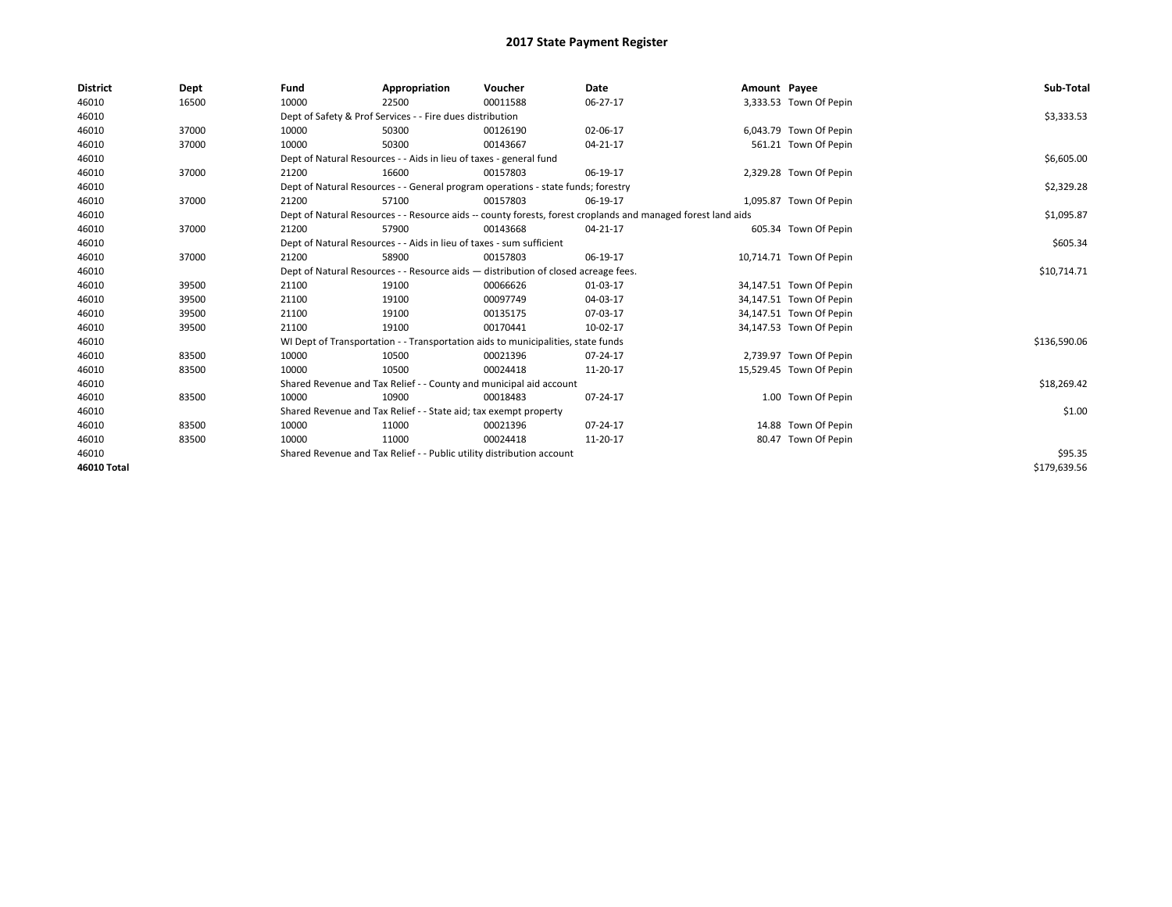| <b>District</b> | Dept  | Fund  | Appropriation                                                                      | Voucher  | Date                                                                                                         | Amount Payee |                         | Sub-Total    |
|-----------------|-------|-------|------------------------------------------------------------------------------------|----------|--------------------------------------------------------------------------------------------------------------|--------------|-------------------------|--------------|
| 46010           | 16500 | 10000 | 22500                                                                              | 00011588 | 06-27-17                                                                                                     |              | 3,333.53 Town Of Pepin  |              |
| 46010           |       |       | Dept of Safety & Prof Services - - Fire dues distribution                          |          |                                                                                                              |              |                         | \$3,333.53   |
| 46010           | 37000 | 10000 | 50300                                                                              | 00126190 | 02-06-17                                                                                                     |              | 6,043.79 Town Of Pepin  |              |
| 46010           | 37000 | 10000 | 50300                                                                              | 00143667 | 04-21-17                                                                                                     |              | 561.21 Town Of Pepin    |              |
| 46010           |       |       | Dept of Natural Resources - - Aids in lieu of taxes - general fund                 |          |                                                                                                              |              |                         | \$6,605.00   |
| 46010           | 37000 | 21200 | 16600                                                                              | 00157803 | 06-19-17                                                                                                     |              | 2,329.28 Town Of Pepin  |              |
| 46010           |       |       | Dept of Natural Resources - - General program operations - state funds; forestry   |          |                                                                                                              |              |                         | \$2,329.28   |
| 46010           | 37000 | 21200 | 57100                                                                              | 00157803 | 06-19-17                                                                                                     |              | 1,095.87 Town Of Pepin  |              |
| 46010           |       |       |                                                                                    |          | Dept of Natural Resources - - Resource aids -- county forests, forest croplands and managed forest land aids |              |                         | \$1,095.87   |
| 46010           | 37000 | 21200 | 57900                                                                              | 00143668 | 04-21-17                                                                                                     |              | 605.34 Town Of Pepin    |              |
| 46010           |       |       | Dept of Natural Resources - - Aids in lieu of taxes - sum sufficient               |          |                                                                                                              |              |                         | \$605.34     |
| 46010           | 37000 | 21200 | 58900                                                                              | 00157803 | 06-19-17                                                                                                     |              | 10,714.71 Town Of Pepin |              |
| 46010           |       |       | Dept of Natural Resources - - Resource aids - distribution of closed acreage fees. |          |                                                                                                              |              |                         | \$10,714.71  |
| 46010           | 39500 | 21100 | 19100                                                                              | 00066626 | 01-03-17                                                                                                     |              | 34,147.51 Town Of Pepin |              |
| 46010           | 39500 | 21100 | 19100                                                                              | 00097749 | 04-03-17                                                                                                     |              | 34,147.51 Town Of Pepin |              |
| 46010           | 39500 | 21100 | 19100                                                                              | 00135175 | 07-03-17                                                                                                     |              | 34,147.51 Town Of Pepin |              |
| 46010           | 39500 | 21100 | 19100                                                                              | 00170441 | 10-02-17                                                                                                     |              | 34,147.53 Town Of Pepin |              |
| 46010           |       |       | WI Dept of Transportation - - Transportation aids to municipalities, state funds   |          |                                                                                                              |              |                         | \$136,590.06 |
| 46010           | 83500 | 10000 | 10500                                                                              | 00021396 | 07-24-17                                                                                                     |              | 2,739.97 Town Of Pepin  |              |
| 46010           | 83500 | 10000 | 10500                                                                              | 00024418 | 11-20-17                                                                                                     |              | 15,529.45 Town Of Pepin |              |
| 46010           |       |       | Shared Revenue and Tax Relief - - County and municipal aid account                 |          |                                                                                                              |              |                         | \$18,269.42  |
| 46010           | 83500 | 10000 | 10900                                                                              | 00018483 | 07-24-17                                                                                                     |              | 1.00 Town Of Pepin      |              |
| 46010           |       |       | Shared Revenue and Tax Relief - - State aid; tax exempt property                   |          |                                                                                                              |              |                         | \$1.00       |
| 46010           | 83500 | 10000 | 11000                                                                              | 00021396 | 07-24-17                                                                                                     |              | 14.88 Town Of Pepin     |              |
| 46010           | 83500 | 10000 | 11000                                                                              | 00024418 | 11-20-17                                                                                                     |              | 80.47 Town Of Pepin     |              |
| 46010           |       |       | Shared Revenue and Tax Relief - - Public utility distribution account              |          |                                                                                                              |              |                         | \$95.35      |
| 46010 Total     |       |       |                                                                                    |          |                                                                                                              |              |                         | \$179,639.56 |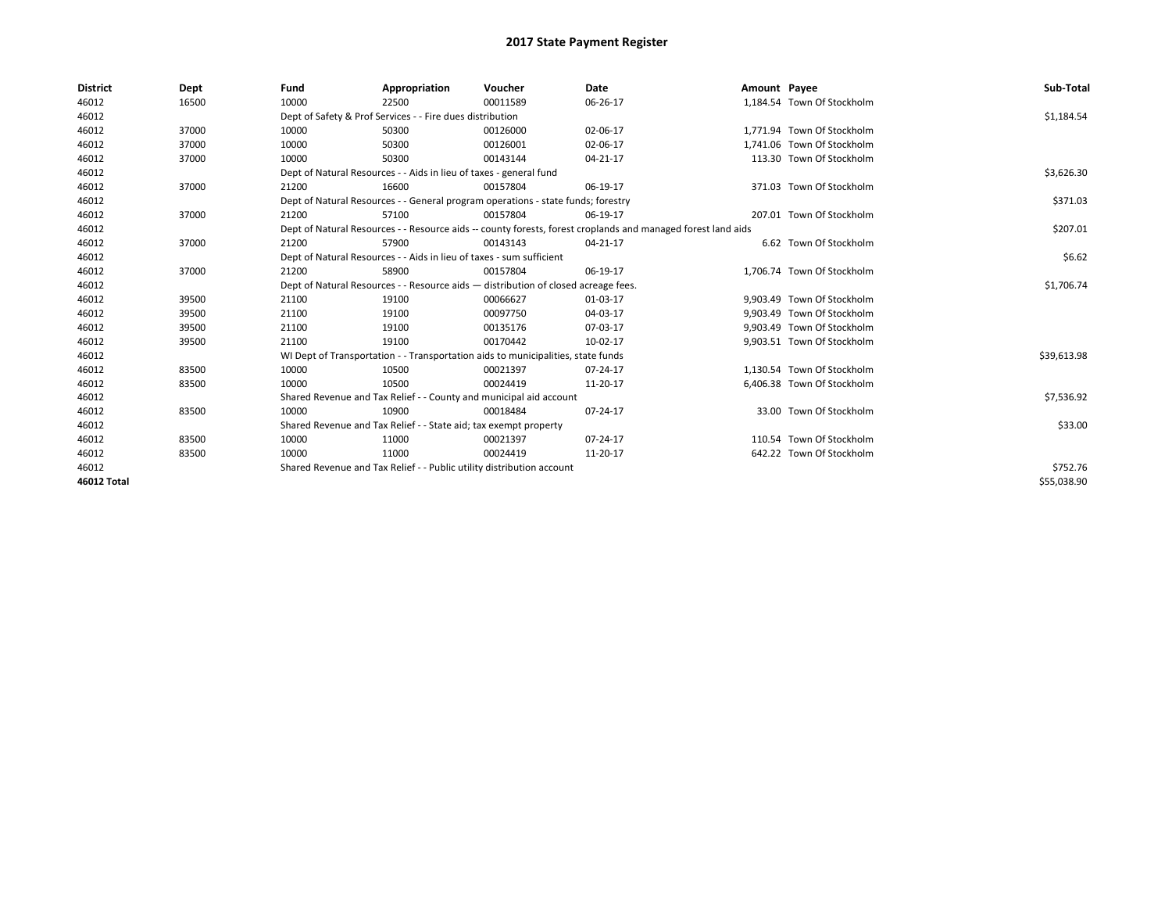| <b>District</b>    | Dept  | Fund  | Appropriation                                                                                                | Voucher  | <b>Date</b> | Amount Payee |                            | Sub-Total   |
|--------------------|-------|-------|--------------------------------------------------------------------------------------------------------------|----------|-------------|--------------|----------------------------|-------------|
| 46012              | 16500 | 10000 | 22500                                                                                                        | 00011589 | 06-26-17    |              | 1,184.54 Town Of Stockholm |             |
| 46012              |       |       | Dept of Safety & Prof Services - - Fire dues distribution                                                    |          |             |              |                            | \$1,184.54  |
| 46012              | 37000 | 10000 | 50300                                                                                                        | 00126000 | 02-06-17    |              | 1,771.94 Town Of Stockholm |             |
| 46012              | 37000 | 10000 | 50300                                                                                                        | 00126001 | 02-06-17    |              | 1,741.06 Town Of Stockholm |             |
| 46012              | 37000 | 10000 | 50300                                                                                                        | 00143144 | 04-21-17    |              | 113.30 Town Of Stockholm   |             |
| 46012              |       |       | Dept of Natural Resources - - Aids in lieu of taxes - general fund                                           |          |             |              |                            | \$3,626.30  |
| 46012              | 37000 | 21200 | 16600                                                                                                        | 00157804 | 06-19-17    |              | 371.03 Town Of Stockholm   |             |
| 46012              |       |       | Dept of Natural Resources - - General program operations - state funds; forestry                             |          |             |              |                            | \$371.03    |
| 46012              | 37000 | 21200 | 57100                                                                                                        | 00157804 | 06-19-17    |              | 207.01 Town Of Stockholm   |             |
| 46012              |       |       | Dept of Natural Resources - - Resource aids -- county forests, forest croplands and managed forest land aids |          | \$207.01    |              |                            |             |
| 46012              | 37000 | 21200 | 57900                                                                                                        | 00143143 | 04-21-17    |              | 6.62 Town Of Stockholm     |             |
| 46012              |       |       | Dept of Natural Resources - - Aids in lieu of taxes - sum sufficient                                         |          |             |              |                            | \$6.62      |
| 46012              | 37000 | 21200 | 58900                                                                                                        | 00157804 | 06-19-17    |              | 1,706.74 Town Of Stockholm |             |
| 46012              |       |       | Dept of Natural Resources - - Resource aids - distribution of closed acreage fees.                           |          |             |              |                            | \$1,706.74  |
| 46012              | 39500 | 21100 | 19100                                                                                                        | 00066627 | 01-03-17    |              | 9.903.49 Town Of Stockholm |             |
| 46012              | 39500 | 21100 | 19100                                                                                                        | 00097750 | 04-03-17    |              | 9,903.49 Town Of Stockholm |             |
| 46012              | 39500 | 21100 | 19100                                                                                                        | 00135176 | 07-03-17    |              | 9,903.49 Town Of Stockholm |             |
| 46012              | 39500 | 21100 | 19100                                                                                                        | 00170442 | 10-02-17    |              | 9,903.51 Town Of Stockholm |             |
| 46012              |       |       | WI Dept of Transportation - - Transportation aids to municipalities, state funds                             |          |             |              |                            | \$39,613.98 |
| 46012              | 83500 | 10000 | 10500                                                                                                        | 00021397 | 07-24-17    |              | 1,130.54 Town Of Stockholm |             |
| 46012              | 83500 | 10000 | 10500                                                                                                        | 00024419 | 11-20-17    |              | 6,406.38 Town Of Stockholm |             |
| 46012              |       |       | Shared Revenue and Tax Relief - - County and municipal aid account                                           |          |             |              |                            | \$7,536.92  |
| 46012              | 83500 | 10000 | 10900                                                                                                        | 00018484 | 07-24-17    |              | 33.00 Town Of Stockholm    |             |
| 46012              |       |       | Shared Revenue and Tax Relief - - State aid; tax exempt property                                             |          |             |              |                            | \$33.00     |
| 46012              | 83500 | 10000 | 11000                                                                                                        | 00021397 | 07-24-17    |              | 110.54 Town Of Stockholm   |             |
| 46012              | 83500 | 10000 | 11000                                                                                                        | 00024419 | 11-20-17    |              | 642.22 Town Of Stockholm   |             |
| 46012              |       |       | Shared Revenue and Tax Relief - - Public utility distribution account                                        |          |             |              |                            | \$752.76    |
| <b>46012 Total</b> |       |       |                                                                                                              |          |             |              |                            | \$55,038.90 |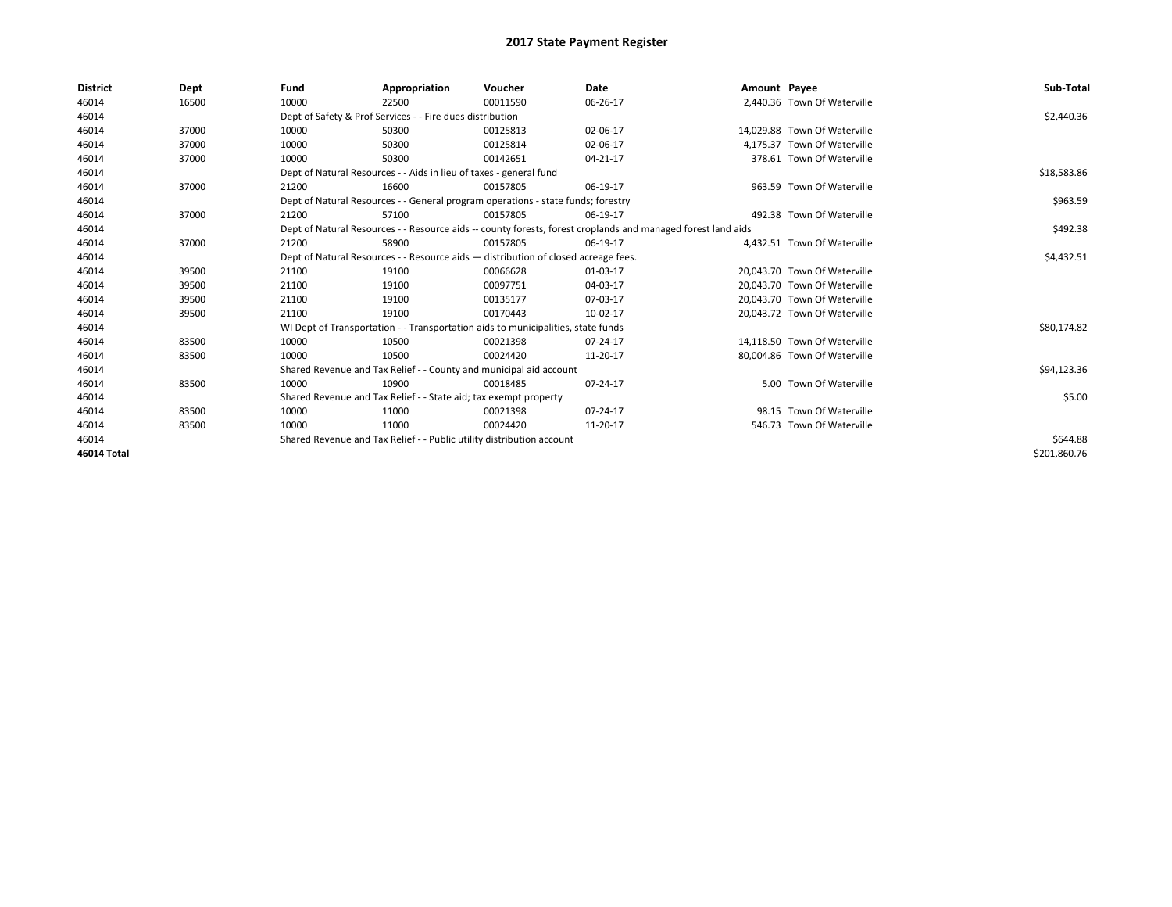| <b>District</b> | Dept  | Fund  | Appropriation                                                                      | Voucher  | Date                                                                                                         | Amount Payee |                              | Sub-Total    |
|-----------------|-------|-------|------------------------------------------------------------------------------------|----------|--------------------------------------------------------------------------------------------------------------|--------------|------------------------------|--------------|
| 46014           | 16500 | 10000 | 22500                                                                              | 00011590 | 06-26-17                                                                                                     |              | 2,440.36 Town Of Waterville  |              |
| 46014           |       |       | Dept of Safety & Prof Services - - Fire dues distribution                          |          |                                                                                                              |              |                              | \$2,440.36   |
| 46014           | 37000 | 10000 | 50300                                                                              | 00125813 | 02-06-17                                                                                                     |              | 14.029.88 Town Of Waterville |              |
| 46014           | 37000 | 10000 | 50300                                                                              | 00125814 | 02-06-17                                                                                                     |              | 4,175.37 Town Of Waterville  |              |
| 46014           | 37000 | 10000 | 50300                                                                              | 00142651 | 04-21-17                                                                                                     |              | 378.61 Town Of Waterville    |              |
| 46014           |       |       | Dept of Natural Resources - - Aids in lieu of taxes - general fund                 |          |                                                                                                              |              |                              | \$18,583.86  |
| 46014           | 37000 | 21200 | 16600                                                                              | 00157805 | 06-19-17                                                                                                     |              | 963.59 Town Of Waterville    |              |
| 46014           |       |       | Dept of Natural Resources - - General program operations - state funds; forestry   |          |                                                                                                              |              |                              | \$963.59     |
| 46014           | 37000 | 21200 | 57100                                                                              | 00157805 | 06-19-17                                                                                                     |              | 492.38 Town Of Waterville    |              |
| 46014           |       |       |                                                                                    |          | Dept of Natural Resources - - Resource aids -- county forests, forest croplands and managed forest land aids |              |                              | \$492.38     |
| 46014           | 37000 | 21200 | 58900                                                                              | 00157805 | 06-19-17                                                                                                     |              | 4.432.51 Town Of Waterville  |              |
| 46014           |       |       | Dept of Natural Resources - - Resource aids - distribution of closed acreage fees. |          | \$4,432.51                                                                                                   |              |                              |              |
| 46014           | 39500 | 21100 | 19100                                                                              | 00066628 | 01-03-17                                                                                                     |              | 20.043.70 Town Of Waterville |              |
| 46014           | 39500 | 21100 | 19100                                                                              | 00097751 | 04-03-17                                                                                                     |              | 20.043.70 Town Of Waterville |              |
| 46014           | 39500 | 21100 | 19100                                                                              | 00135177 | 07-03-17                                                                                                     |              | 20,043.70 Town Of Waterville |              |
| 46014           | 39500 | 21100 | 19100                                                                              | 00170443 | 10-02-17                                                                                                     |              | 20,043.72 Town Of Waterville |              |
| 46014           |       |       | WI Dept of Transportation - - Transportation aids to municipalities, state funds   |          |                                                                                                              |              |                              | \$80,174.82  |
| 46014           | 83500 | 10000 | 10500                                                                              | 00021398 | 07-24-17                                                                                                     |              | 14,118.50 Town Of Waterville |              |
| 46014           | 83500 | 10000 | 10500                                                                              | 00024420 | 11-20-17                                                                                                     |              | 80,004.86 Town Of Waterville |              |
| 46014           |       |       | Shared Revenue and Tax Relief - - County and municipal aid account                 |          |                                                                                                              |              |                              | \$94,123.36  |
| 46014           | 83500 | 10000 | 10900                                                                              | 00018485 | 07-24-17                                                                                                     |              | 5.00 Town Of Waterville      |              |
| 46014           |       |       | Shared Revenue and Tax Relief - - State aid; tax exempt property                   |          |                                                                                                              |              |                              | \$5.00       |
| 46014           | 83500 | 10000 | 11000                                                                              | 00021398 | 07-24-17                                                                                                     |              | 98.15 Town Of Waterville     |              |
| 46014           | 83500 | 10000 | 11000                                                                              | 00024420 | 11-20-17                                                                                                     |              | 546.73 Town Of Waterville    |              |
| 46014           |       |       | Shared Revenue and Tax Relief - - Public utility distribution account              |          |                                                                                                              |              |                              | \$644.88     |
| 46014 Total     |       |       |                                                                                    |          |                                                                                                              |              |                              | \$201,860.76 |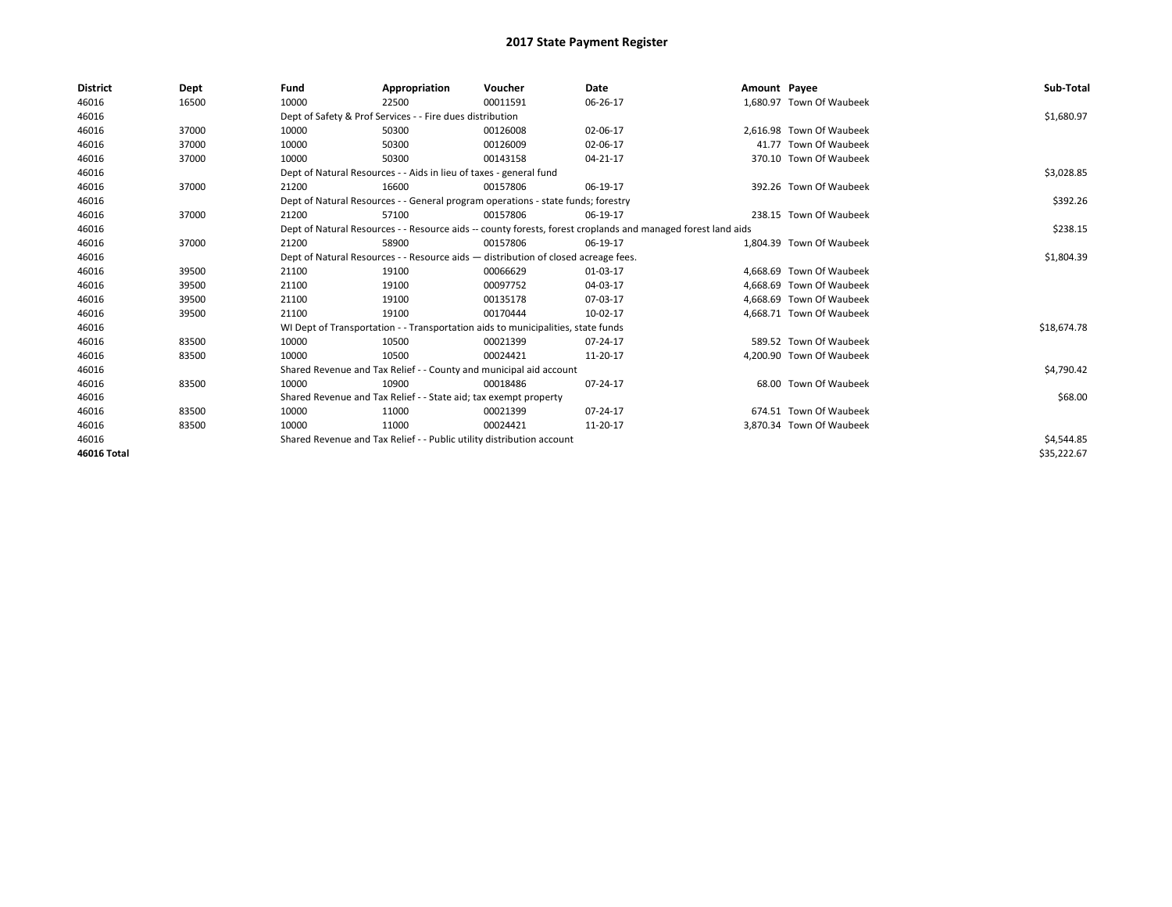| <b>District</b> | Dept  | Fund  | Appropriation                                                                      | Voucher  | Date                                                                                                         | Amount Payee |                          | Sub-Total   |
|-----------------|-------|-------|------------------------------------------------------------------------------------|----------|--------------------------------------------------------------------------------------------------------------|--------------|--------------------------|-------------|
| 46016           | 16500 | 10000 | 22500                                                                              | 00011591 | 06-26-17                                                                                                     |              | 1,680.97 Town Of Waubeek |             |
| 46016           |       |       | Dept of Safety & Prof Services - - Fire dues distribution                          |          |                                                                                                              |              |                          | \$1,680.97  |
| 46016           | 37000 | 10000 | 50300                                                                              | 00126008 | 02-06-17                                                                                                     |              | 2,616.98 Town Of Waubeek |             |
| 46016           | 37000 | 10000 | 50300                                                                              | 00126009 | 02-06-17                                                                                                     |              | 41.77 Town Of Waubeek    |             |
| 46016           | 37000 | 10000 | 50300                                                                              | 00143158 | 04-21-17                                                                                                     |              | 370.10 Town Of Waubeek   |             |
| 46016           |       |       | Dept of Natural Resources - - Aids in lieu of taxes - general fund                 |          |                                                                                                              |              |                          | \$3,028.85  |
| 46016           | 37000 | 21200 | 16600                                                                              | 00157806 | 06-19-17                                                                                                     |              | 392.26 Town Of Waubeek   |             |
| 46016           |       |       | Dept of Natural Resources - - General program operations - state funds; forestry   |          |                                                                                                              |              |                          | \$392.26    |
| 46016           | 37000 | 21200 | 57100                                                                              | 00157806 | 06-19-17                                                                                                     |              | 238.15 Town Of Waubeek   |             |
| 46016           |       |       |                                                                                    |          | Dept of Natural Resources - - Resource aids -- county forests, forest croplands and managed forest land aids |              |                          | \$238.15    |
| 46016           | 37000 | 21200 | 58900                                                                              | 00157806 | 06-19-17                                                                                                     |              | 1.804.39 Town Of Waubeek |             |
| 46016           |       |       | Dept of Natural Resources - - Resource aids - distribution of closed acreage fees. |          | \$1,804.39                                                                                                   |              |                          |             |
| 46016           | 39500 | 21100 | 19100                                                                              | 00066629 | 01-03-17                                                                                                     |              | 4.668.69 Town Of Waubeek |             |
| 46016           | 39500 | 21100 | 19100                                                                              | 00097752 | 04-03-17                                                                                                     |              | 4.668.69 Town Of Waubeek |             |
| 46016           | 39500 | 21100 | 19100                                                                              | 00135178 | 07-03-17                                                                                                     |              | 4,668.69 Town Of Waubeek |             |
| 46016           | 39500 | 21100 | 19100                                                                              | 00170444 | 10-02-17                                                                                                     |              | 4.668.71 Town Of Waubeek |             |
| 46016           |       |       | WI Dept of Transportation - - Transportation aids to municipalities, state funds   |          |                                                                                                              |              |                          | \$18,674.78 |
| 46016           | 83500 | 10000 | 10500                                                                              | 00021399 | 07-24-17                                                                                                     |              | 589.52 Town Of Waubeek   |             |
| 46016           | 83500 | 10000 | 10500                                                                              | 00024421 | 11-20-17                                                                                                     |              | 4.200.90 Town Of Waubeek |             |
| 46016           |       |       | Shared Revenue and Tax Relief - - County and municipal aid account                 |          |                                                                                                              |              |                          | \$4,790.42  |
| 46016           | 83500 | 10000 | 10900                                                                              | 00018486 | 07-24-17                                                                                                     |              | 68.00 Town Of Waubeek    |             |
| 46016           |       |       | Shared Revenue and Tax Relief - - State aid; tax exempt property                   |          |                                                                                                              |              |                          | \$68.00     |
| 46016           | 83500 | 10000 | 11000                                                                              | 00021399 | 07-24-17                                                                                                     |              | 674.51 Town Of Waubeek   |             |
| 46016           | 83500 | 10000 | 11000                                                                              | 00024421 | 11-20-17                                                                                                     |              | 3.870.34 Town Of Waubeek |             |
| 46016           |       |       | Shared Revenue and Tax Relief - - Public utility distribution account              |          |                                                                                                              |              |                          | \$4,544.85  |
| 46016 Total     |       |       |                                                                                    |          |                                                                                                              |              |                          | \$35,222.67 |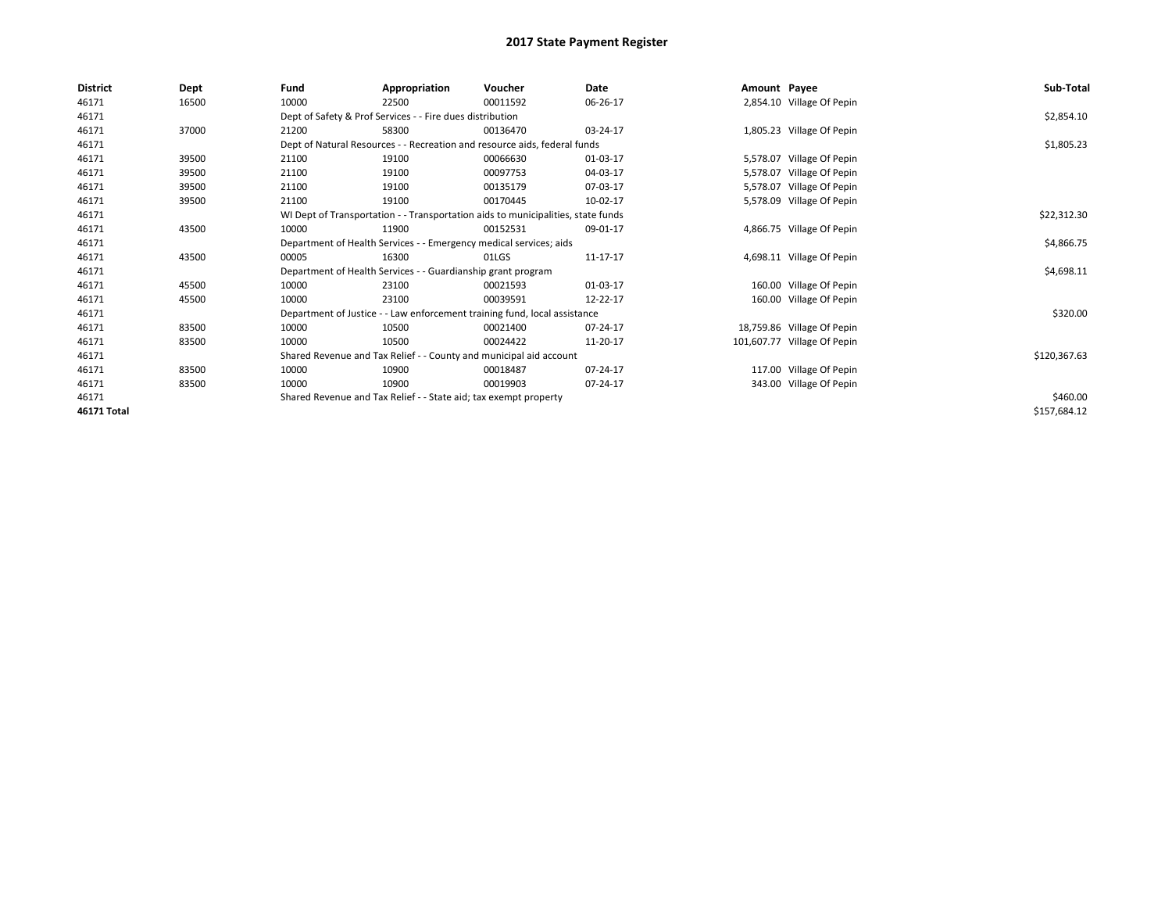| <b>District</b> | Dept  | Fund                                                                             | Appropriation                                                      | Voucher                                                                   | Date     | Amount Payee |                             | Sub-Total    |
|-----------------|-------|----------------------------------------------------------------------------------|--------------------------------------------------------------------|---------------------------------------------------------------------------|----------|--------------|-----------------------------|--------------|
| 46171           | 16500 | 10000                                                                            | 22500                                                              | 00011592                                                                  | 06-26-17 |              | 2,854.10 Village Of Pepin   |              |
| 46171           |       |                                                                                  | Dept of Safety & Prof Services - - Fire dues distribution          |                                                                           |          |              |                             | \$2,854.10   |
| 46171           | 37000 | 21200                                                                            | 58300                                                              | 00136470                                                                  | 03-24-17 |              | 1,805.23 Village Of Pepin   |              |
| 46171           |       |                                                                                  |                                                                    | Dept of Natural Resources - - Recreation and resource aids, federal funds |          |              |                             | \$1,805.23   |
| 46171           | 39500 | 21100                                                                            | 19100                                                              | 00066630                                                                  | 01-03-17 |              | 5,578.07 Village Of Pepin   |              |
| 46171           | 39500 | 21100                                                                            | 19100                                                              | 00097753                                                                  | 04-03-17 |              | 5,578.07 Village Of Pepin   |              |
| 46171           | 39500 | 21100                                                                            | 19100                                                              | 00135179                                                                  | 07-03-17 |              | 5,578.07 Village Of Pepin   |              |
| 46171           | 39500 | 21100                                                                            | 19100                                                              | 00170445                                                                  | 10-02-17 |              | 5,578.09 Village Of Pepin   |              |
| 46171           |       | WI Dept of Transportation - - Transportation aids to municipalities, state funds |                                                                    | \$22,312.30                                                               |          |              |                             |              |
| 46171           | 43500 | 10000                                                                            | 11900                                                              | 00152531                                                                  | 09-01-17 |              | 4,866.75 Village Of Pepin   |              |
| 46171           |       |                                                                                  | Department of Health Services - - Emergency medical services; aids |                                                                           |          |              |                             | \$4,866.75   |
| 46171           | 43500 | 00005                                                                            | 16300                                                              | 01LGS                                                                     | 11-17-17 |              | 4,698.11 Village Of Pepin   |              |
| 46171           |       |                                                                                  | Department of Health Services - - Guardianship grant program       |                                                                           |          |              |                             | \$4,698.11   |
| 46171           | 45500 | 10000                                                                            | 23100                                                              | 00021593                                                                  | 01-03-17 |              | 160.00 Village Of Pepin     |              |
| 46171           | 45500 | 10000                                                                            | 23100                                                              | 00039591                                                                  | 12-22-17 |              | 160.00 Village Of Pepin     |              |
| 46171           |       |                                                                                  |                                                                    | Department of Justice - - Law enforcement training fund, local assistance |          |              |                             | \$320.00     |
| 46171           | 83500 | 10000                                                                            | 10500                                                              | 00021400                                                                  | 07-24-17 |              | 18,759.86 Village Of Pepin  |              |
| 46171           | 83500 | 10000                                                                            | 10500                                                              | 00024422                                                                  | 11-20-17 |              | 101,607.77 Village Of Pepin |              |
| 46171           |       |                                                                                  |                                                                    | Shared Revenue and Tax Relief - - County and municipal aid account        |          |              |                             | \$120,367.63 |
| 46171           | 83500 | 10000                                                                            | 10900                                                              | 00018487                                                                  | 07-24-17 |              | 117.00 Village Of Pepin     |              |
| 46171           | 83500 | 10000                                                                            | 10900                                                              | 00019903                                                                  | 07-24-17 |              | 343.00 Village Of Pepin     |              |
| 46171           |       | Shared Revenue and Tax Relief - - State aid; tax exempt property                 |                                                                    | \$460.00                                                                  |          |              |                             |              |
| 46171 Total     |       |                                                                                  |                                                                    |                                                                           |          |              |                             | \$157,684.12 |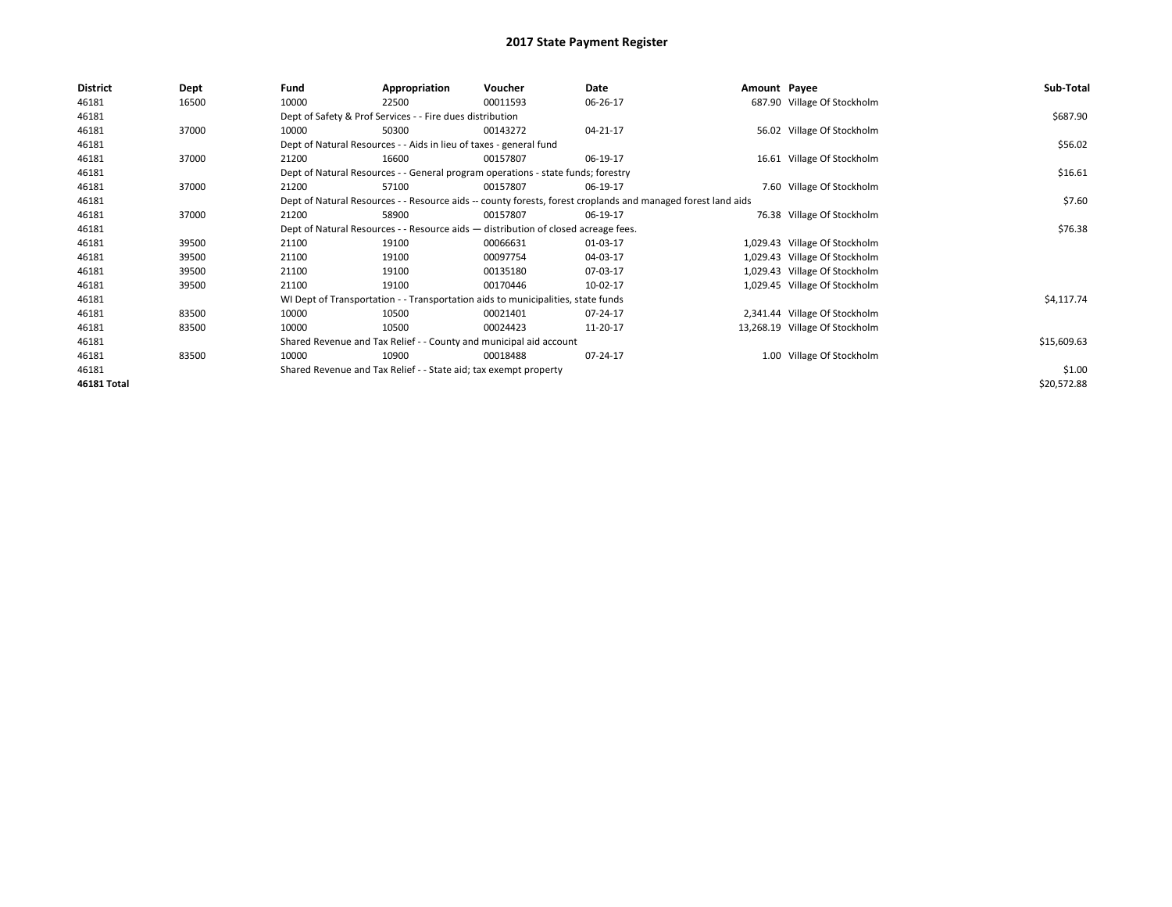| <b>District</b> | Dept  | Fund                                                                                                         | Appropriation | Voucher     | Date     | Amount Payee |                                | Sub-Total   |
|-----------------|-------|--------------------------------------------------------------------------------------------------------------|---------------|-------------|----------|--------------|--------------------------------|-------------|
| 46181           | 16500 | 10000                                                                                                        | 22500         | 00011593    | 06-26-17 |              | 687.90 Village Of Stockholm    |             |
| 46181           |       | Dept of Safety & Prof Services - - Fire dues distribution                                                    |               | \$687.90    |          |              |                                |             |
| 46181           | 37000 | 10000                                                                                                        | 50300         | 00143272    | 04-21-17 |              | 56.02 Village Of Stockholm     |             |
| 46181           |       | Dept of Natural Resources - - Aids in lieu of taxes - general fund                                           |               | \$56.02     |          |              |                                |             |
| 46181           | 37000 | 21200                                                                                                        | 16600         | 00157807    | 06-19-17 |              | 16.61 Village Of Stockholm     |             |
| 46181           |       | Dept of Natural Resources - - General program operations - state funds; forestry                             |               | \$16.61     |          |              |                                |             |
| 46181           | 37000 | 21200                                                                                                        | 57100         | 00157807    | 06-19-17 |              | 7.60 Village Of Stockholm      |             |
| 46181           |       | Dept of Natural Resources - - Resource aids -- county forests, forest croplands and managed forest land aids |               | \$7.60      |          |              |                                |             |
| 46181           | 37000 | 21200                                                                                                        | 58900         | 00157807    | 06-19-17 |              | 76.38 Village Of Stockholm     |             |
| 46181           |       | Dept of Natural Resources - - Resource aids - distribution of closed acreage fees.                           |               | \$76.38     |          |              |                                |             |
| 46181           | 39500 | 21100                                                                                                        | 19100         | 00066631    | 01-03-17 |              | 1,029.43 Village Of Stockholm  |             |
| 46181           | 39500 | 21100                                                                                                        | 19100         | 00097754    | 04-03-17 |              | 1,029.43 Village Of Stockholm  |             |
| 46181           | 39500 | 21100                                                                                                        | 19100         | 00135180    | 07-03-17 |              | 1,029.43 Village Of Stockholm  |             |
| 46181           | 39500 | 21100                                                                                                        | 19100         | 00170446    | 10-02-17 |              | 1,029.45 Village Of Stockholm  |             |
| 46181           |       | WI Dept of Transportation - - Transportation aids to municipalities, state funds                             |               | \$4,117.74  |          |              |                                |             |
| 46181           | 83500 | 10000                                                                                                        | 10500         | 00021401    | 07-24-17 |              | 2,341.44 Village Of Stockholm  |             |
| 46181           | 83500 | 10000                                                                                                        | 10500         | 00024423    | 11-20-17 |              | 13,268.19 Village Of Stockholm |             |
| 46181           |       | Shared Revenue and Tax Relief - - County and municipal aid account                                           |               | \$15,609.63 |          |              |                                |             |
| 46181           | 83500 | 10000                                                                                                        | 10900         | 00018488    | 07-24-17 |              | 1.00 Village Of Stockholm      |             |
| 46181           |       | Shared Revenue and Tax Relief - - State aid; tax exempt property                                             |               | \$1.00      |          |              |                                |             |
| 46181 Total     |       |                                                                                                              |               |             |          |              |                                | \$20,572.88 |